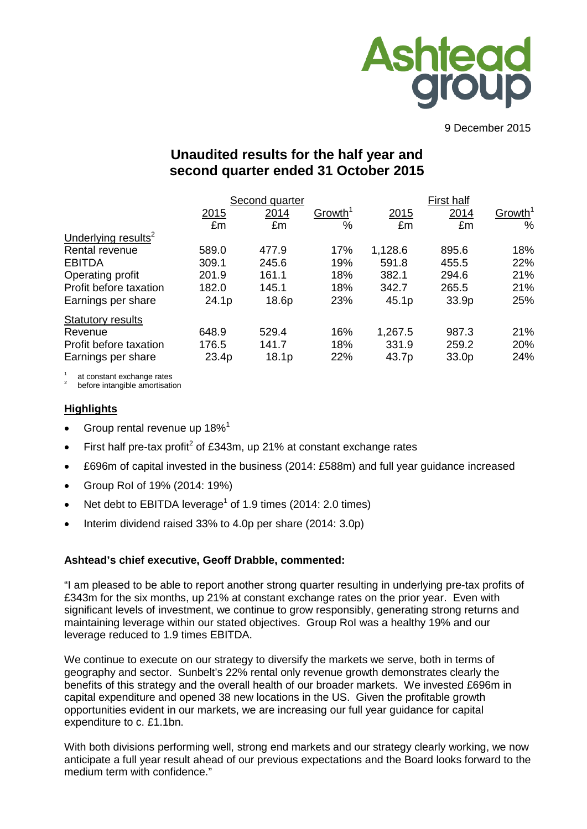

9 December 2015

# **Unaudited results for the half year and second quarter ended 31 October 2015**

|                                 | Second quarter |                   |                     |         |       |                     |
|---------------------------------|----------------|-------------------|---------------------|---------|-------|---------------------|
|                                 | 2015           | 2014              | Growth <sup>1</sup> | 2015    | 2014  | Growth <sup>1</sup> |
|                                 | £m             | £m                | %                   | £m      | £m    | %                   |
| Underlying results <sup>2</sup> |                |                   |                     |         |       |                     |
| Rental revenue                  | 589.0          | 477.9             | 17%                 | 1,128.6 | 895.6 | 18%                 |
| <b>EBITDA</b>                   | 309.1          | 245.6             | 19%                 | 591.8   | 455.5 | 22%                 |
| Operating profit                | 201.9          | 161.1             | 18%                 | 382.1   | 294.6 | 21%                 |
| Profit before taxation          | 182.0          | 145.1             | 18%                 | 342.7   | 265.5 | 21%                 |
| Earnings per share              | 24.1p          | 18.6p             | 23%                 | 45.1p   | 33.9p | 25%                 |
| <b>Statutory results</b>        |                |                   |                     |         |       |                     |
| Revenue                         | 648.9          | 529.4             | 16%                 | 1,267.5 | 987.3 | 21%                 |
| Profit before taxation          | 176.5          | 141.7             | 18%                 | 331.9   | 259.2 | 20%                 |
| Earnings per share              | 23.4p          | 18.1 <sub>p</sub> | 22%                 | 43.7p   | 33.0p | 24%                 |

at constant exchange rates<br>before intangible amortisation

#### **Highlights**

- Group rental revenue up 18%<sup>1</sup>
- First half pre-tax profit<sup>2</sup> of £343m, up 21% at constant exchange rates
- £696m of capital invested in the business (2014: £588m) and full year guidance increased
- Group RoI of 19% (2014: 19%)
- Net debt to EBITDA leverage<sup>1</sup> of 1.9 times (2014: 2.0 times)
- Interim dividend raised 33% to 4.0p per share (2014: 3.0p)

#### **Ashtead's chief executive, Geoff Drabble, commented:**

"I am pleased to be able to report another strong quarter resulting in underlying pre-tax profits of £343m for the six months, up 21% at constant exchange rates on the prior year. Even with significant levels of investment, we continue to grow responsibly, generating strong returns and maintaining leverage within our stated objectives. Group RoI was a healthy 19% and our leverage reduced to 1.9 times EBITDA.

We continue to execute on our strategy to diversify the markets we serve, both in terms of geography and sector. Sunbelt's 22% rental only revenue growth demonstrates clearly the benefits of this strategy and the overall health of our broader markets. We invested £696m in capital expenditure and opened 38 new locations in the US. Given the profitable growth opportunities evident in our markets, we are increasing our full year guidance for capital expenditure to c. £1.1bn.

With both divisions performing well, strong end markets and our strategy clearly working, we now anticipate a full year result ahead of our previous expectations and the Board looks forward to the medium term with confidence."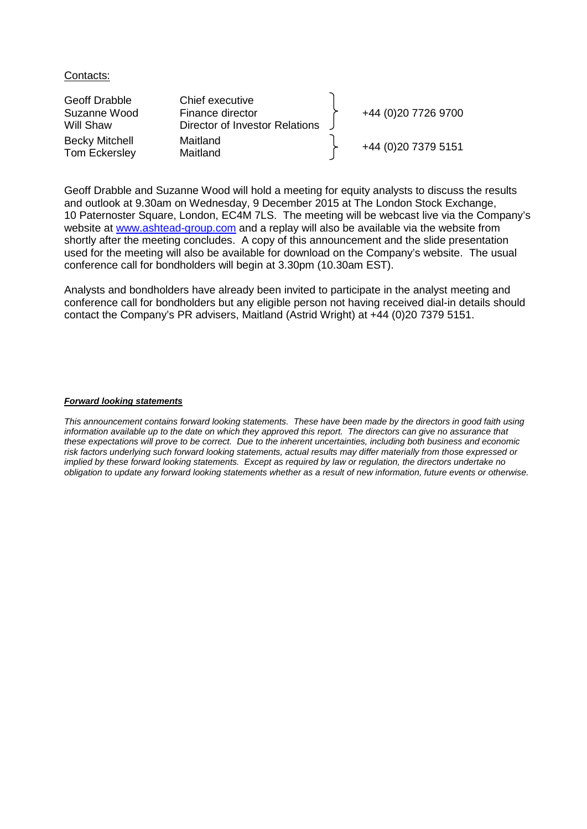Contacts:

| Geoff Drabble<br>Suzanne Wood          | Chief executive<br>Finance director | +44 (0)20 7726 9700  |
|----------------------------------------|-------------------------------------|----------------------|
| Will Shaw                              | Director of Investor Relations      |                      |
| <b>Becky Mitchell</b><br>Tom Eckersley | Maitland<br>Maitland                | +44 (0) 20 7379 5151 |

Geoff Drabble and Suzanne Wood will hold a meeting for equity analysts to discuss the results and outlook at 9.30am on Wednesday, 9 December 2015 at The London Stock Exchange, 10 Paternoster Square, London, EC4M 7LS. The meeting will be webcast live via the Company's website at [www.ashtead-group.com](http://www.ashtead-group.com/) and a replay will also be available via the website from shortly after the meeting concludes. A copy of this announcement and the slide presentation used for the meeting will also be available for download on the Company's website. The usual conference call for bondholders will begin at 3.30pm (10.30am EST).

Analysts and bondholders have already been invited to participate in the analyst meeting and conference call for bondholders but any eligible person not having received dial-in details should contact the Company's PR advisers, Maitland (Astrid Wright) at +44 (0)20 7379 5151.

#### *Forward looking statements*

*This announcement contains forward looking statements. These have been made by the directors in good faith using*  information available up to the date on which they approved this report. The directors can give no assurance that *these expectations will prove to be correct. Due to the inherent uncertainties, including both business and economic risk factors underlying such forward looking statements, actual results may differ materially from those expressed or implied by these forward looking statements. Except as required by law or regulation, the directors undertake no obligation to update any forward looking statements whether as a result of new information, future events or otherwise.*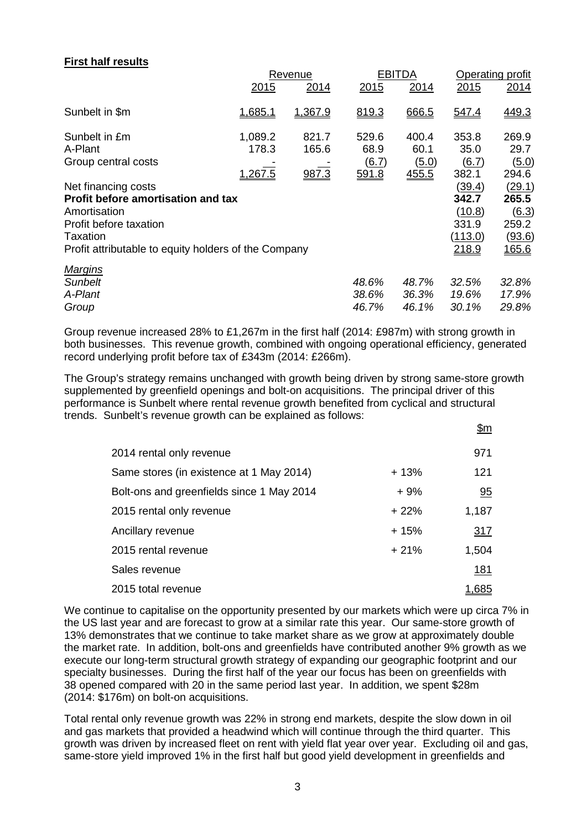## **First half results**

|                                                                                                                                                                                | <b>Revenue</b>                     |                         |                                               | <b>EBITDA</b>                   | Operating profit                                       |                                                      |
|--------------------------------------------------------------------------------------------------------------------------------------------------------------------------------|------------------------------------|-------------------------|-----------------------------------------------|---------------------------------|--------------------------------------------------------|------------------------------------------------------|
|                                                                                                                                                                                | 2015                               | 2014                    | 2015                                          | 2014                            | 2015                                                   | 2014                                                 |
| Sunbelt in \$m                                                                                                                                                                 | 1,685.1                            | 1,367.9                 | 819.3                                         | 666.5                           | 547.4                                                  | 449.3                                                |
| Sunbelt in £m<br>A-Plant<br>Group central costs                                                                                                                                | 1,089.2<br>178.3<br><u>1,267.5</u> | 821.7<br>165.6<br>987.3 | 529.6<br>68.9<br>$\underline{(6.7)}$<br>591.8 | 400.4<br>60.1<br>(5.0)<br>455.5 | 353.8<br>35.0<br>(6.7)<br>382.1                        | 269.9<br>29.7<br>(5.0)<br>294.6                      |
| Net financing costs<br><b>Profit before amortisation and tax</b><br>Amortisation<br>Profit before taxation<br>Taxation<br>Profit attributable to equity holders of the Company |                                    |                         |                                               |                                 | (39.4)<br>342.7<br>(10.8)<br>331.9<br>(113.0)<br>218.9 | (29.1)<br>265.5<br>(6.3)<br>259.2<br>(93.6)<br>165.6 |
| <b>Margins</b><br>Sunbelt<br>A-Plant<br>Group                                                                                                                                  |                                    |                         | 48.6%<br>38.6%<br>46.7%                       | 48.7%<br>36.3%<br>46.1%         | 32.5%<br>19.6%<br>30.1%                                | 32.8%<br>17.9%<br>29.8%                              |

Group revenue increased 28% to £1,267m in the first half (2014: £987m) with strong growth in both businesses. This revenue growth, combined with ongoing operational efficiency, generated record underlying profit before tax of £343m (2014: £266m).

The Group's strategy remains unchanged with growth being driven by strong same-store growth supplemented by greenfield openings and bolt-on acquisitions. The principal driver of this performance is Sunbelt where rental revenue growth benefited from cyclical and structural trends. Sunbelt's revenue growth can be explained as follows:

|                                           |        | \$m         |
|-------------------------------------------|--------|-------------|
| 2014 rental only revenue                  |        | 971         |
| Same stores (in existence at 1 May 2014)  | $+13%$ | 121         |
| Bolt-ons and greenfields since 1 May 2014 | $+9%$  | 95          |
| 2015 rental only revenue                  | $+22%$ | 1,187       |
| Ancillary revenue                         | $+15%$ | 317         |
| 2015 rental revenue                       | $+21%$ | 1,504       |
| Sales revenue                             |        | <u> 181</u> |
| 2015 total revenue                        |        | 1.685       |

We continue to capitalise on the opportunity presented by our markets which were up circa 7% in the US last year and are forecast to grow at a similar rate this year. Our same-store growth of 13% demonstrates that we continue to take market share as we grow at approximately double the market rate. In addition, bolt-ons and greenfields have contributed another 9% growth as we execute our long-term structural growth strategy of expanding our geographic footprint and our specialty businesses. During the first half of the year our focus has been on greenfields with 38 opened compared with 20 in the same period last year. In addition, we spent \$28m (2014: \$176m) on bolt-on acquisitions.

Total rental only revenue growth was 22% in strong end markets, despite the slow down in oil and gas markets that provided a headwind which will continue through the third quarter. This growth was driven by increased fleet on rent with yield flat year over year. Excluding oil and gas, same-store yield improved 1% in the first half but good yield development in greenfields and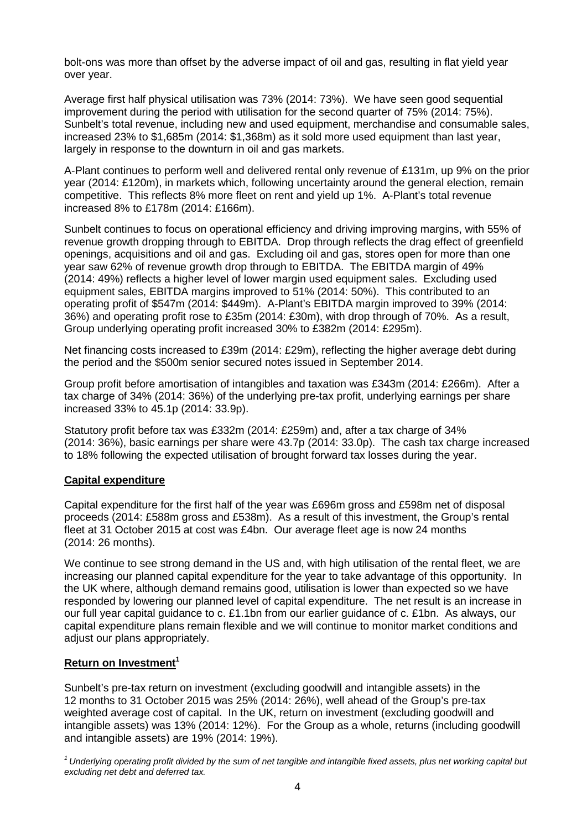bolt-ons was more than offset by the adverse impact of oil and gas, resulting in flat yield year over year.

Average first half physical utilisation was 73% (2014: 73%). We have seen good sequential improvement during the period with utilisation for the second quarter of 75% (2014: 75%). Sunbelt's total revenue, including new and used equipment, merchandise and consumable sales, increased 23% to \$1,685m (2014: \$1,368m) as it sold more used equipment than last year, largely in response to the downturn in oil and gas markets.

A-Plant continues to perform well and delivered rental only revenue of £131m, up 9% on the prior year (2014: £120m), in markets which, following uncertainty around the general election, remain competitive. This reflects 8% more fleet on rent and yield up 1%. A-Plant's total revenue increased 8% to £178m (2014: £166m).

Sunbelt continues to focus on operational efficiency and driving improving margins, with 55% of revenue growth dropping through to EBITDA. Drop through reflects the drag effect of greenfield openings, acquisitions and oil and gas. Excluding oil and gas, stores open for more than one year saw 62% of revenue growth drop through to EBITDA. The EBITDA margin of 49% (2014: 49%) reflects a higher level of lower margin used equipment sales. Excluding used equipment sales, EBITDA margins improved to 51% (2014: 50%). This contributed to an operating profit of \$547m (2014: \$449m). A-Plant's EBITDA margin improved to 39% (2014: 36%) and operating profit rose to £35m (2014: £30m), with drop through of 70%. As a result, Group underlying operating profit increased 30% to £382m (2014: £295m).

Net financing costs increased to £39m (2014: £29m), reflecting the higher average debt during the period and the \$500m senior secured notes issued in September 2014.

Group profit before amortisation of intangibles and taxation was £343m (2014: £266m). After a tax charge of 34% (2014: 36%) of the underlying pre-tax profit, underlying earnings per share increased 33% to 45.1p (2014: 33.9p).

Statutory profit before tax was £332m (2014: £259m) and, after a tax charge of 34% (2014: 36%), basic earnings per share were 43.7p (2014: 33.0p). The cash tax charge increased to 18% following the expected utilisation of brought forward tax losses during the year.

### **Capital expenditure**

Capital expenditure for the first half of the year was £696m gross and £598m net of disposal proceeds (2014: £588m gross and £538m). As a result of this investment, the Group's rental fleet at 31 October 2015 at cost was £4bn. Our average fleet age is now 24 months (2014: 26 months).

We continue to see strong demand in the US and, with high utilisation of the rental fleet, we are increasing our planned capital expenditure for the year to take advantage of this opportunity. In the UK where, although demand remains good, utilisation is lower than expected so we have responded by lowering our planned level of capital expenditure. The net result is an increase in our full year capital guidance to c. £1.1bn from our earlier guidance of c. £1bn. As always, our capital expenditure plans remain flexible and we will continue to monitor market conditions and adjust our plans appropriately.

#### **Return on Investment<sup>1</sup>**

Sunbelt's pre-tax return on investment (excluding goodwill and intangible assets) in the 12 months to 31 October 2015 was 25% (2014: 26%), well ahead of the Group's pre-tax weighted average cost of capital. In the UK, return on investment (excluding goodwill and intangible assets) was 13% (2014: 12%). For the Group as a whole, returns (including goodwill and intangible assets) are 19% (2014: 19%).

*1 Underlying operating profit divided by the sum of net tangible and intangible fixed assets, plus net working capital but excluding net debt and deferred tax.*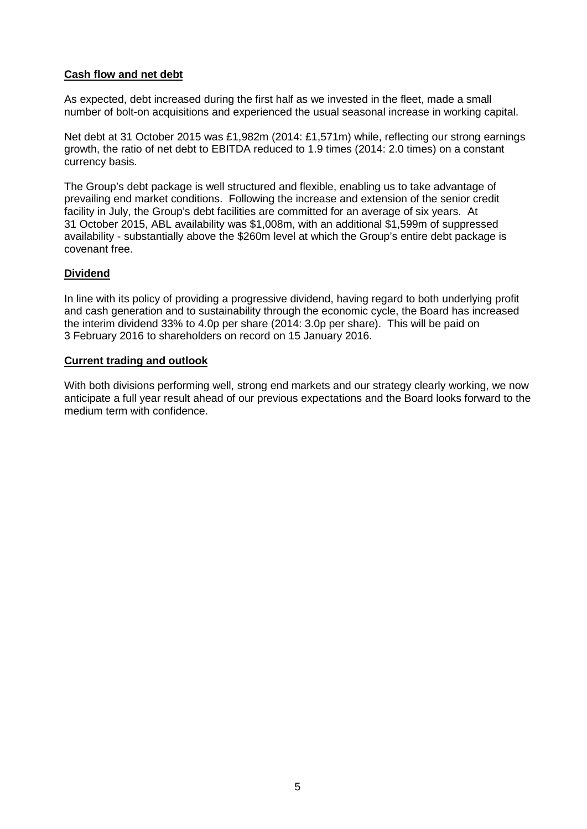## **Cash flow and net debt**

As expected, debt increased during the first half as we invested in the fleet, made a small number of bolt-on acquisitions and experienced the usual seasonal increase in working capital.

Net debt at 31 October 2015 was £1,982m (2014: £1,571m) while, reflecting our strong earnings growth, the ratio of net debt to EBITDA reduced to 1.9 times (2014: 2.0 times) on a constant currency basis.

The Group's debt package is well structured and flexible, enabling us to take advantage of prevailing end market conditions. Following the increase and extension of the senior credit facility in July, the Group's debt facilities are committed for an average of six years. At 31 October 2015, ABL availability was \$1,008m, with an additional \$1,599m of suppressed availability - substantially above the \$260m level at which the Group's entire debt package is covenant free.

### **Dividend**

In line with its policy of providing a progressive dividend, having regard to both underlying profit and cash generation and to sustainability through the economic cycle, the Board has increased the interim dividend 33% to 4.0p per share (2014: 3.0p per share). This will be paid on 3 February 2016 to shareholders on record on 15 January 2016.

## **Current trading and outlook**

With both divisions performing well, strong end markets and our strategy clearly working, we now anticipate a full year result ahead of our previous expectations and the Board looks forward to the medium term with confidence.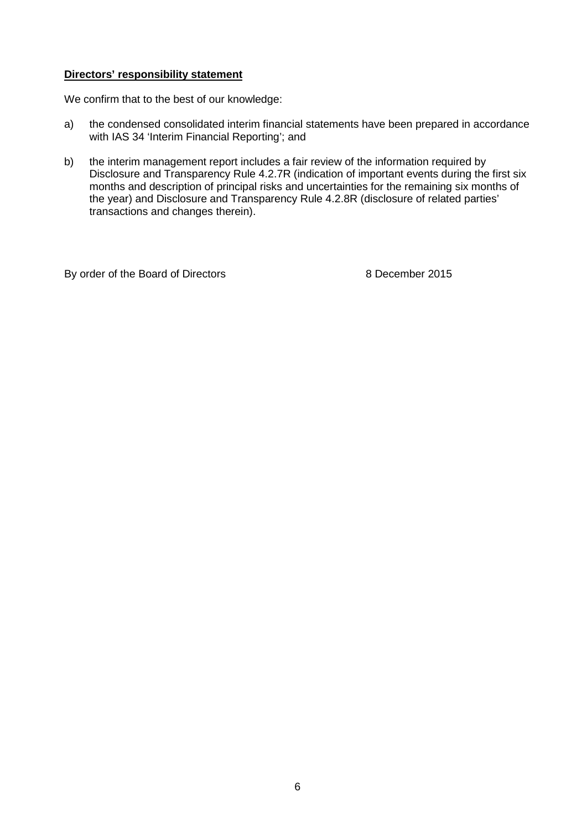### **Directors' responsibility statement**

We confirm that to the best of our knowledge:

- a) the condensed consolidated interim financial statements have been prepared in accordance with IAS 34 'Interim Financial Reporting'; and
- b) the interim management report includes a fair review of the information required by Disclosure and Transparency Rule 4.2.7R (indication of important events during the first six months and description of principal risks and uncertainties for the remaining six months of the year) and Disclosure and Transparency Rule 4.2.8R (disclosure of related parties' transactions and changes therein).

By order of the Board of Directors 8 December 2015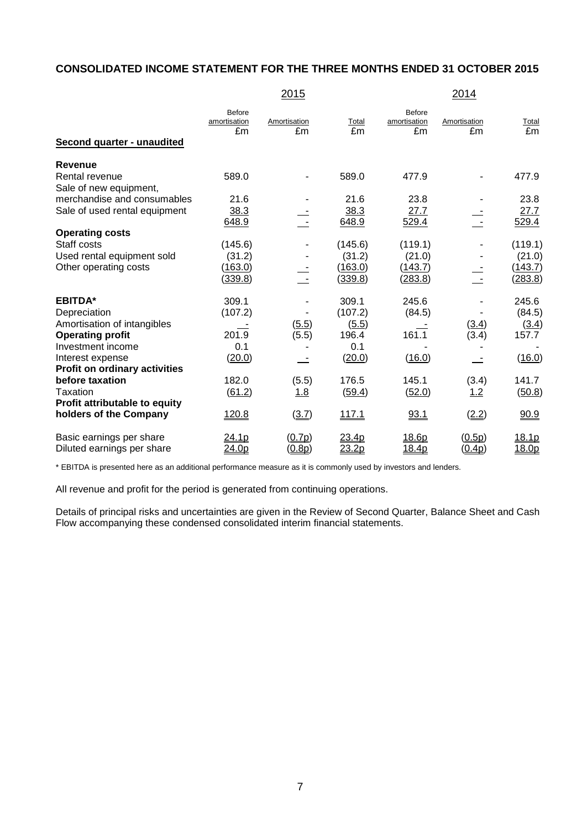## **CONSOLIDATED INCOME STATEMENT FOR THE THREE MONTHS ENDED 31 OCTOBER 2015**

|                                                              |                                     | 2015               |               |                              | 2014               |               |
|--------------------------------------------------------------|-------------------------------------|--------------------|---------------|------------------------------|--------------------|---------------|
| Second quarter - unaudited                                   | <b>Before</b><br>amortisation<br>£m | Amortisation<br>£m | Total<br>£m   | Before<br>amortisation<br>£m | Amortisation<br>£m | Total<br>£m   |
|                                                              |                                     |                    |               |                              |                    |               |
| <b>Revenue</b>                                               |                                     |                    |               |                              |                    |               |
| Rental revenue                                               | 589.0                               |                    | 589.0         | 477.9                        |                    | 477.9         |
| Sale of new equipment,                                       | 21.6                                |                    | 21.6          |                              |                    |               |
| merchandise and consumables<br>Sale of used rental equipment |                                     |                    |               | 23.8                         |                    | 23.8          |
|                                                              | 38.3<br>648.9                       |                    | 38.3<br>648.9 | 27.7                         |                    | 27.7<br>529.4 |
| <b>Operating costs</b>                                       |                                     |                    |               | 529.4                        |                    |               |
| Staff costs                                                  | (145.6)                             |                    | (145.6)       | (119.1)                      |                    | (119.1)       |
| Used rental equipment sold                                   | (31.2)                              |                    | (31.2)        | (21.0)                       |                    | (21.0)        |
| Other operating costs                                        | (163.0)                             |                    | (163.0)       | (143.7)                      |                    | (143.7)       |
|                                                              | (339.8)                             |                    | (339.8)       | (283.8)                      |                    | (283.8)       |
| <b>EBITDA*</b>                                               | 309.1                               |                    | 309.1         | 245.6                        |                    | 245.6         |
| Depreciation                                                 | (107.2)                             |                    | (107.2)       | (84.5)                       |                    | (84.5)        |
| Amortisation of intangibles                                  |                                     | (5.5)              | (5.5)         |                              | (3.4)              | <u>(3.4)</u>  |
| <b>Operating profit</b>                                      | 201.9                               | (5.5)              | 196.4         | 161.1                        | (3.4)              | 157.7         |
| Investment income                                            | 0.1                                 |                    | 0.1           |                              |                    |               |
| Interest expense                                             | (20.0)                              |                    | (20.0)        | (16.0)                       |                    | (16.0)        |
| Profit on ordinary activities                                |                                     |                    |               |                              |                    |               |
| before taxation                                              | 182.0                               | (5.5)              | 176.5         | 145.1                        | (3.4)              | 141.7         |
| Taxation                                                     | (61.2)                              | 1.8                | (59.4)        | (52.0)                       | 1.2                | (50.8)        |
| Profit attributable to equity                                |                                     |                    |               |                              |                    |               |
| holders of the Company                                       | 120.8                               | (3.7)              | <u>117.1</u>  | 93.1                         | (2.2)              | 90.9          |
| Basic earnings per share                                     | <u> 24.1p</u>                       | (0.7p)             | 23.4p         | <u>18.6p</u>                 | (0.5p)             | 18.1p         |
| Diluted earnings per share                                   | 24.0p                               | (0.8p)             | 23.2p         | 18.4p                        | (0.4p)             | 18.0p         |

\* EBITDA is presented here as an additional performance measure as it is commonly used by investors and lenders.

All revenue and profit for the period is generated from continuing operations.

Details of principal risks and uncertainties are given in the Review of Second Quarter, Balance Sheet and Cash Flow accompanying these condensed consolidated interim financial statements.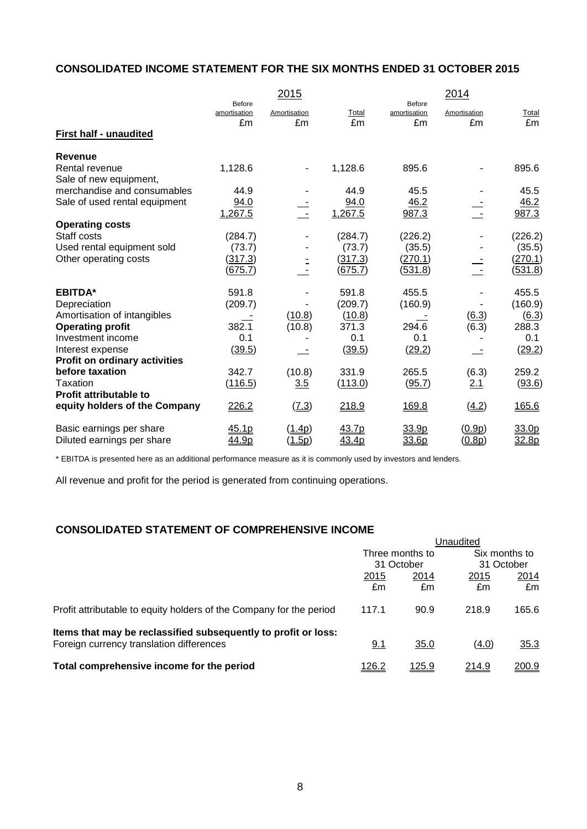## **CONSOLIDATED INCOME STATEMENT FOR THE SIX MONTHS ENDED 31 OCTOBER 2015**

|                                          |                        | 2015            |         |                        | 2014                |                |
|------------------------------------------|------------------------|-----------------|---------|------------------------|---------------------|----------------|
|                                          | Before<br>amortisation | Amortisation    | Total   | Before<br>amortisation | Amortisation        | Total          |
|                                          | £m                     | £m              | £m      | £m                     | £m                  | £m             |
| <b>First half - unaudited</b>            |                        |                 |         |                        |                     |                |
| <b>Revenue</b>                           |                        |                 |         |                        |                     |                |
| Rental revenue<br>Sale of new equipment, | 1,128.6                |                 | 1,128.6 | 895.6                  |                     | 895.6          |
| merchandise and consumables              | 44.9                   |                 | 44.9    | 45.5                   |                     | 45.5           |
| Sale of used rental equipment            | 94.0                   |                 | 94.0    | 46.2                   |                     | 46.2           |
|                                          | 1,267.5                |                 | 1,267.5 | 987.3                  |                     | 987.3          |
| <b>Operating costs</b>                   |                        |                 |         |                        |                     |                |
| Staff costs                              | (284.7)                |                 | (284.7) | (226.2)                |                     | (226.2)        |
| Used rental equipment sold               | (73.7)                 |                 | (73.7)  | (35.5)                 |                     | (35.5)         |
| Other operating costs                    | (317.3)                |                 | (317.3) | (270.1)                |                     | (270.1)        |
|                                          | (675.7)                |                 | (675.7) | (531.8)                |                     | <u>(531.8)</u> |
| <b>EBITDA*</b>                           | 591.8                  |                 | 591.8   | 455.5                  |                     | 455.5          |
| Depreciation                             | (209.7)                |                 | (209.7) | (160.9)                |                     | (160.9)        |
| Amortisation of intangibles              |                        | (10.8)          | (10.8)  |                        | $\underline{(6.3)}$ | (6.3)          |
| <b>Operating profit</b>                  | 382.1                  | (10.8)          | 371.3   | 294.6                  | (6.3)               | 288.3          |
| Investment income                        | 0.1                    |                 | 0.1     | 0.1                    |                     | 0.1            |
| Interest expense                         | (39.5)                 |                 | (39.5)  | (29.2)                 |                     | (29.2)         |
| <b>Profit on ordinary activities</b>     |                        |                 |         |                        |                     |                |
| before taxation                          | 342.7                  | (10.8)          | 331.9   | 265.5                  | (6.3)               | 259.2          |
| Taxation                                 | (116.5)                | 3.5             | (113.0) | (95.7)                 | 2.1                 | (93.6)         |
| <b>Profit attributable to</b>            |                        |                 |         |                        |                     |                |
| equity holders of the Company            | 226.2                  | (7.3)           | 218.9   | 169.8                  | (4.2)               | 165.6          |
| Basic earnings per share                 | 45.1p                  | ( <u>1.4p</u> ) | 43.7p   | 33.9p                  | (0.9p)              | 33.0p          |
| Diluted earnings per share               | 44.9p                  | (1.5p)          | 43.4p   | 33.6p                  | (0.8p)              | 32.8p          |

\* EBITDA is presented here as an additional performance measure as it is commonly used by investors and lenders.

All revenue and profit for the period is generated from continuing operations.

## **CONSOLIDATED STATEMENT OF COMPREHENSIVE INCOME**

|                                                                     | Unaudited     |                 |                             |              |  |
|---------------------------------------------------------------------|---------------|-----------------|-----------------------------|--------------|--|
|                                                                     |               | Three months to | Six months to<br>31 October |              |  |
|                                                                     |               | 31 October      |                             |              |  |
|                                                                     | <u>2015</u>   | 2014            | 2015                        | 2014         |  |
|                                                                     | £m            | £m              | £m                          | £m           |  |
| Profit attributable to equity holders of the Company for the period | 117.1         | 90.9            | 218.9                       | 165.6        |  |
| Items that may be reclassified subsequently to profit or loss:      |               |                 |                             |              |  |
| Foreign currency translation differences                            | 9.1           | 35.0            | (4.0)                       | 35.3         |  |
| Total comprehensive income for the period                           | <u> 126.2</u> | <u>125.9</u>    | 214.9                       | <u>200.9</u> |  |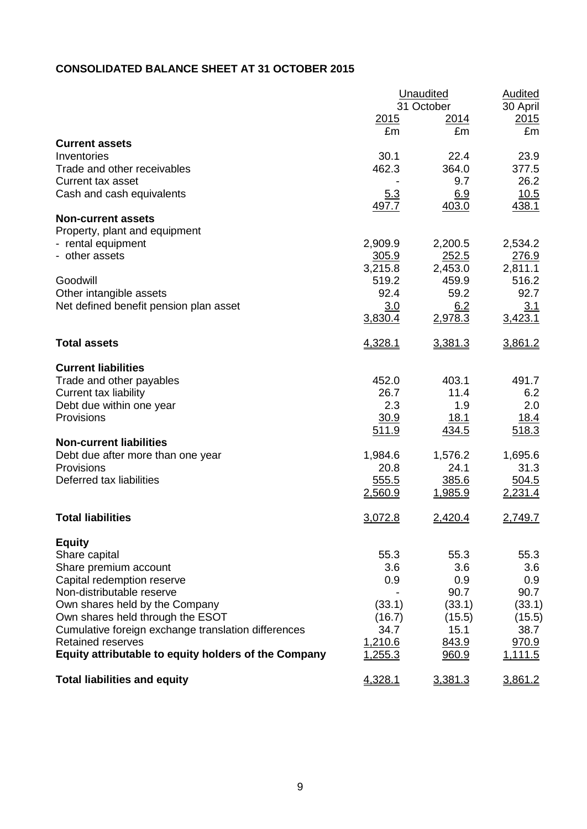## **CONSOLIDATED BALANCE SHEET AT 31 OCTOBER 2015**

|                                                      | Unaudited    | <b>Audited</b> |          |
|------------------------------------------------------|--------------|----------------|----------|
|                                                      |              | 31 October     | 30 April |
|                                                      | <u> 2015</u> | <u>2014</u>    | 2015     |
|                                                      | £m           | £m             | £m       |
| <b>Current assets</b>                                |              |                |          |
| Inventories                                          | 30.1         | 22.4           | 23.9     |
| Trade and other receivables                          | 462.3        | 364.0          | 377.5    |
| Current tax asset                                    |              | 9.7            | 26.2     |
| Cash and cash equivalents                            | 5.3          | 6.9            | 10.5     |
|                                                      | 497.7        | 403.0          | 438.1    |
| <b>Non-current assets</b>                            |              |                |          |
| Property, plant and equipment                        |              |                |          |
| - rental equipment                                   | 2,909.9      | 2,200.5        | 2,534.2  |
| - other assets                                       | 305.9        | <u>252.5</u>   | 276.9    |
|                                                      | 3,215.8      | 2,453.0        | 2,811.1  |
| Goodwill                                             | 519.2        | 459.9          | 516.2    |
| Other intangible assets                              | 92.4         | 59.2           | 92.7     |
| Net defined benefit pension plan asset               | 3.0          | 6.2            | 3.1      |
|                                                      | 3,830.4      | 2,978.3        | 3,423.1  |
| <b>Total assets</b>                                  | 4,328.1      | 3,381.3        | 3,861.2  |
| <b>Current liabilities</b>                           |              |                |          |
| Trade and other payables                             | 452.0        | 403.1          | 491.7    |
| <b>Current tax liability</b>                         | 26.7         | 11.4           | 6.2      |
| Debt due within one year                             | 2.3          | 1.9            | 2.0      |
| Provisions                                           | 30.9         | 18.1           | 18.4     |
|                                                      | 511.9        | 434.5          | 518.3    |
| <b>Non-current liabilities</b>                       |              |                |          |
| Debt due after more than one year                    | 1,984.6      | 1,576.2        | 1,695.6  |
| Provisions                                           | 20.8         | 24.1           | 31.3     |
| Deferred tax liabilities                             | 555.5        | 385.6          | 504.5    |
|                                                      | 2,560.9      | <u>1,985.9</u> | 2,231.4  |
| <b>Total liabilities</b>                             | 3,072.8      | 2,420.4        | 2,749.7  |
| <b>Equity</b>                                        |              |                |          |
| Share capital                                        | 55.3         | 55.3           | 55.3     |
| Share premium account                                | 3.6          | 3.6            | 3.6      |
| Capital redemption reserve                           | 0.9          | 0.9            | 0.9      |
| Non-distributable reserve                            |              | 90.7           | 90.7     |
| Own shares held by the Company                       | (33.1)       | (33.1)         | (33.1)   |
| Own shares held through the ESOT                     | (16.7)       | (15.5)         | (15.5)   |
| Cumulative foreign exchange translation differences  | 34.7         | 15.1           | 38.7     |
| <b>Retained reserves</b>                             | 1,210.6      | 843.9          | 970.9    |
| Equity attributable to equity holders of the Company | 1,255.3      | 960.9          | 1,111.5  |
| <b>Total liabilities and equity</b>                  | 4,328.1      | 3,381.3        | 3,861.2  |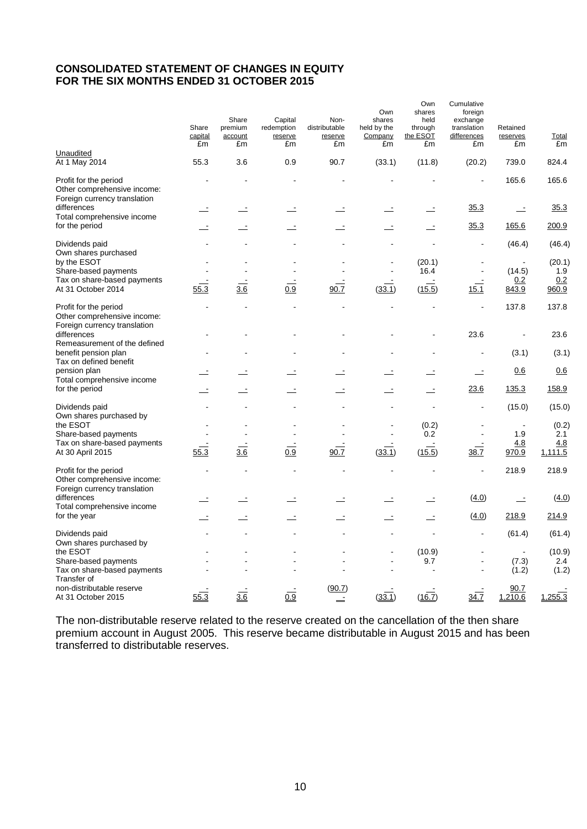### **CONSOLIDATED STATEMENT OF CHANGES IN EQUITY FOR THE SIX MONTHS ENDED 31 OCTOBER 2015**

|                                                                                      | Share<br>capital<br>£m | Share<br>premium<br>account<br>£m | Capital<br>redemption<br>reserve<br>£m | Non-<br>distributable<br>reserve<br>£m | Own<br>shares<br>held by the<br>Company<br>£m | Own<br>shares<br>held<br>through<br>the ESOT<br>£m | Cumulative<br>foreign<br>exchange<br>translation<br>differences<br>£m | Retained<br>reserves<br>£m | Total<br>£m    |
|--------------------------------------------------------------------------------------|------------------------|-----------------------------------|----------------------------------------|----------------------------------------|-----------------------------------------------|----------------------------------------------------|-----------------------------------------------------------------------|----------------------------|----------------|
| Unaudited<br>At 1 May 2014                                                           | 55.3                   | 3.6                               | 0.9                                    | 90.7                                   | (33.1)                                        | (11.8)                                             | (20.2)                                                                | 739.0                      | 824.4          |
| Profit for the period<br>Other comprehensive income:<br>Foreign currency translation |                        |                                   |                                        |                                        |                                               |                                                    | $\blacksquare$                                                        | 165.6                      | 165.6          |
| differences<br>Total comprehensive income                                            |                        |                                   |                                        |                                        |                                               |                                                    | <u>35.3</u>                                                           | $\mathbf{r}$               | 35.3           |
| for the period                                                                       |                        |                                   |                                        | $\equiv$                               | Ż,                                            | Ŀ                                                  | 35.3                                                                  | 165.6                      | 200.9          |
| Dividends paid<br>Own shares purchased                                               |                        |                                   |                                        |                                        |                                               |                                                    |                                                                       | (46.4)                     | (46.4)         |
| by the ESOT<br>Share-based payments                                                  |                        |                                   |                                        |                                        |                                               | (20.1)<br>16.4                                     | $\sim$                                                                | (14.5)                     | (20.1)<br>1.9  |
| Tax on share-based payments<br>At 31 October 2014                                    | 55.3                   | 3.6                               | 0.9                                    | 90.7                                   | (33.1)                                        | (15.5)                                             | 15.1                                                                  | 0.2<br><u>843.9</u>        | 0.2<br>960.9   |
| Profit for the period<br>Other comprehensive income:<br>Foreign currency translation |                        |                                   |                                        |                                        | $\blacksquare$                                | $\ddot{\phantom{a}}$                               | ÷,                                                                    | 137.8                      | 137.8          |
| differences<br>Remeasurement of the defined                                          |                        |                                   |                                        |                                        |                                               | $\overline{a}$                                     | 23.6                                                                  | $\ddot{\phantom{a}}$       | 23.6           |
| benefit pension plan<br>Tax on defined benefit                                       |                        |                                   |                                        |                                        |                                               |                                                    |                                                                       | (3.1)                      | (3.1)          |
| pension plan<br>Total comprehensive income                                           |                        |                                   |                                        |                                        |                                               |                                                    | Ŀ,                                                                    | 0.6                        | 0.6            |
| for the period                                                                       |                        |                                   |                                        |                                        |                                               |                                                    | 23.6                                                                  | 135.3                      | 158.9          |
| Dividends paid<br>Own shares purchased by                                            |                        |                                   |                                        |                                        |                                               |                                                    | $\blacksquare$                                                        | (15.0)                     | (15.0)         |
| the ESOT<br>Share-based payments                                                     |                        |                                   |                                        |                                        |                                               | (0.2)<br>0.2                                       | $\blacksquare$                                                        | 1.9                        | (0.2)<br>2.1   |
| Tax on share-based payments<br>At 30 April 2015                                      | 55.3                   | 3.6                               | 0.9                                    | 90.7                                   | (33.1)                                        | (15.5)                                             | 38.7                                                                  | 4.8<br>970.9               | 4.8<br>1,111.5 |
| Profit for the period<br>Other comprehensive income:<br>Foreign currency translation | L,                     |                                   |                                        |                                        |                                               |                                                    | L,                                                                    | 218.9                      | 218.9          |
| differences<br>Total comprehensive income                                            |                        |                                   |                                        |                                        |                                               |                                                    | (4.0)                                                                 | $\equiv$                   | (4.0)          |
| for the year                                                                         |                        |                                   |                                        | Ŀ                                      | $\overline{\phantom{a}}$                      | $\overline{\phantom{a}}$                           | (4.0)                                                                 | 218.9                      | 214.9          |
| Dividends paid<br>Own shares purchased by                                            |                        |                                   |                                        |                                        |                                               |                                                    | $\blacksquare$                                                        | (61.4)                     | (61.4)         |
| the ESOT                                                                             |                        |                                   |                                        |                                        |                                               | (10.9)                                             |                                                                       | $\blacksquare$             | (10.9)         |
| Share-based payments<br>Tax on share-based payments                                  |                        |                                   |                                        |                                        | $\blacksquare$                                | 9.7                                                | $\overline{\phantom{a}}$<br>$\blacksquare$                            | (7.3)<br>(1.2)             | 2.4<br>(1.2)   |
| Transfer of<br>non-distributable reserve<br>At 31 October 2015                       | 55.3                   | 3.6                               | 0.9                                    | (90.7)<br>$\equiv$                     | (33.1)                                        | (16.7)                                             | 34.7                                                                  | 90.7<br>1,210.6            | 1,255.3        |

The non-distributable reserve related to the reserve created on the cancellation of the then share premium account in August 2005. This reserve became distributable in August 2015 and has been transferred to distributable reserves.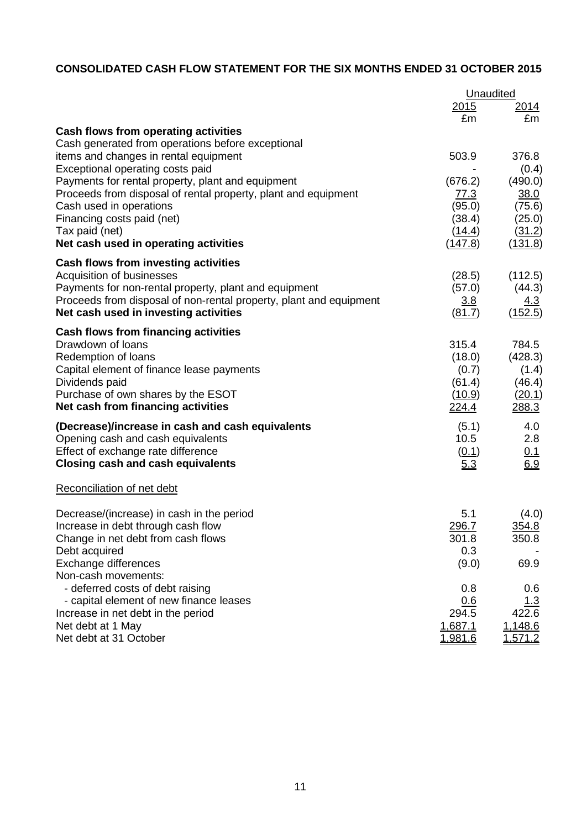## **CONSOLIDATED CASH FLOW STATEMENT FOR THE SIX MONTHS ENDED 31 OCTOBER 2015**

|                                                                                                                     | Unaudited              |                   |  |
|---------------------------------------------------------------------------------------------------------------------|------------------------|-------------------|--|
|                                                                                                                     | 2015                   | 2014              |  |
|                                                                                                                     | £m                     | £m                |  |
| Cash flows from operating activities                                                                                |                        |                   |  |
| Cash generated from operations before exceptional                                                                   |                        |                   |  |
| items and changes in rental equipment                                                                               | 503.9                  | 376.8             |  |
| Exceptional operating costs paid                                                                                    |                        | (0.4)             |  |
| Payments for rental property, plant and equipment<br>Proceeds from disposal of rental property, plant and equipment | (676.2)<br><u>77.3</u> | (490.0)<br>38.0   |  |
| Cash used in operations                                                                                             | (95.0)                 | (75.6)            |  |
| Financing costs paid (net)                                                                                          | (38.4)                 | (25.0)            |  |
| Tax paid (net)                                                                                                      | (14.4)                 | (31.2)            |  |
| Net cash used in operating activities                                                                               | (147.8)                | (131.8)           |  |
| Cash flows from investing activities                                                                                |                        |                   |  |
| Acquisition of businesses                                                                                           | (28.5)                 | (112.5)           |  |
| Payments for non-rental property, plant and equipment                                                               | (57.0)                 | (44.3)            |  |
| Proceeds from disposal of non-rental property, plant and equipment                                                  | <u>3.8</u>             | <u>4.3</u>        |  |
| Net cash used in investing activities                                                                               | (81.7)                 | (152.5)           |  |
| <b>Cash flows from financing activities</b>                                                                         |                        |                   |  |
| Drawdown of loans                                                                                                   | 315.4<br>(18.0)        | 784.5             |  |
| Redemption of loans<br>Capital element of finance lease payments                                                    | (0.7)                  | (428.3)<br>(1.4)  |  |
| Dividends paid                                                                                                      | (61.4)                 | (46.4)            |  |
| Purchase of own shares by the ESOT                                                                                  | (10.9)                 | (20.1)            |  |
| Net cash from financing activities                                                                                  | 224.4                  | 288.3             |  |
| (Decrease)/increase in cash and cash equivalents                                                                    | (5.1)                  | 4.0               |  |
| Opening cash and cash equivalents                                                                                   | 10.5                   | 2.8               |  |
| Effect of exchange rate difference                                                                                  | (0.1)                  | $\frac{0.1}{6.9}$ |  |
| <b>Closing cash and cash equivalents</b>                                                                            | 5.3                    |                   |  |
| Reconciliation of net debt                                                                                          |                        |                   |  |
| Decrease/(increase) in cash in the period                                                                           | 5.1                    | (4.0)             |  |
| Increase in debt through cash flow                                                                                  | 296.7                  | 354.8             |  |
| Change in net debt from cash flows                                                                                  | 301.8                  | 350.8             |  |
| Debt acquired                                                                                                       | 0.3                    |                   |  |
| Exchange differences                                                                                                | (9.0)                  | 69.9              |  |
| Non-cash movements:<br>- deferred costs of debt raising                                                             |                        |                   |  |
| - capital element of new finance leases                                                                             | 0.8<br>0.6             | 0.6<br>1.3        |  |
| Increase in net debt in the period                                                                                  | 294.5                  | 422.6             |  |
| Net debt at 1 May                                                                                                   | 1,687.1                | 1,148.6           |  |
| Net debt at 31 October                                                                                              | <u>1,981.6</u>         | 1,571.2           |  |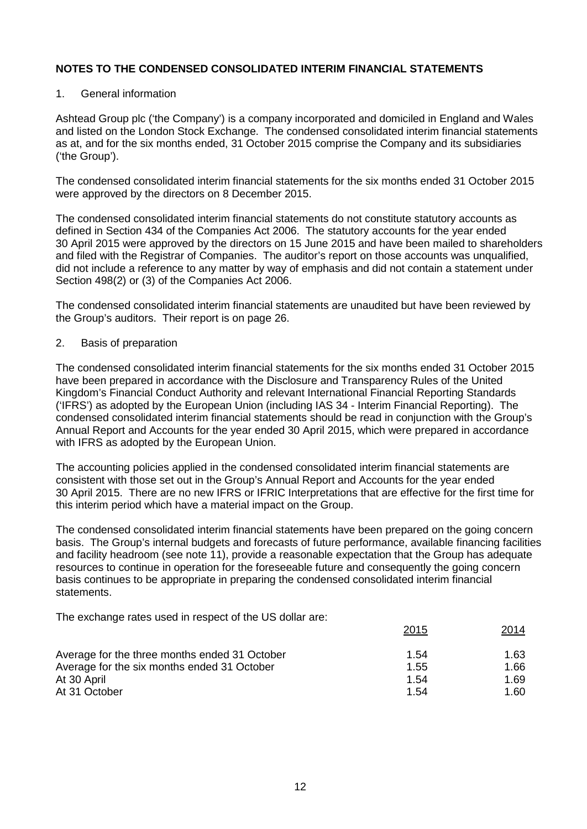#### 1. General information

Ashtead Group plc ('the Company') is a company incorporated and domiciled in England and Wales and listed on the London Stock Exchange. The condensed consolidated interim financial statements as at, and for the six months ended, 31 October 2015 comprise the Company and its subsidiaries ('the Group').

The condensed consolidated interim financial statements for the six months ended 31 October 2015 were approved by the directors on 8 December 2015.

The condensed consolidated interim financial statements do not constitute statutory accounts as defined in Section 434 of the Companies Act 2006. The statutory accounts for the year ended 30 April 2015 were approved by the directors on 15 June 2015 and have been mailed to shareholders and filed with the Registrar of Companies. The auditor's report on those accounts was unqualified, did not include a reference to any matter by way of emphasis and did not contain a statement under Section 498(2) or (3) of the Companies Act 2006.

The condensed consolidated interim financial statements are unaudited but have been reviewed by the Group's auditors. Their report is on page 26.

#### 2. Basis of preparation

The condensed consolidated interim financial statements for the six months ended 31 October 2015 have been prepared in accordance with the Disclosure and Transparency Rules of the United Kingdom's Financial Conduct Authority and relevant International Financial Reporting Standards ('IFRS') as adopted by the European Union (including IAS 34 - Interim Financial Reporting). The condensed consolidated interim financial statements should be read in conjunction with the Group's Annual Report and Accounts for the year ended 30 April 2015, which were prepared in accordance with IFRS as adopted by the European Union.

The accounting policies applied in the condensed consolidated interim financial statements are consistent with those set out in the Group's Annual Report and Accounts for the year ended 30 April 2015. There are no new IFRS or IFRIC Interpretations that are effective for the first time for this interim period which have a material impact on the Group.

The condensed consolidated interim financial statements have been prepared on the going concern basis. The Group's internal budgets and forecasts of future performance, available financing facilities and facility headroom (see note 11), provide a reasonable expectation that the Group has adequate resources to continue in operation for the foreseeable future and consequently the going concern basis continues to be appropriate in preparing the condensed consolidated interim financial statements.

The exchange rates used in respect of the US dollar are:

|                                               | 2015 | 2014 |
|-----------------------------------------------|------|------|
| Average for the three months ended 31 October | 1.54 | 1.63 |
| Average for the six months ended 31 October   | 1.55 | 1.66 |
| At 30 April                                   | 1.54 | 1.69 |
| At 31 October                                 | 1.54 | 1.60 |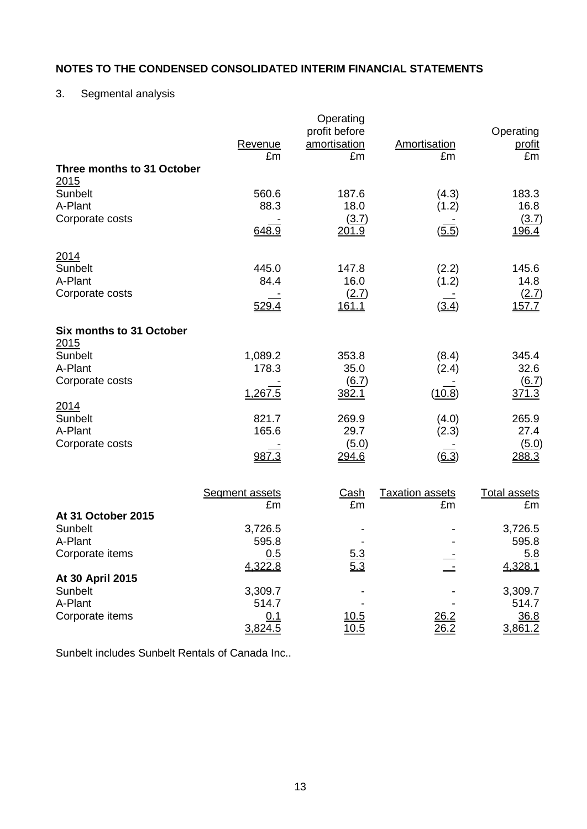## 3. Segmental analysis

|                                    | Revenue<br>£m           | Operating<br>profit before<br>amortisation<br>£m | Amortisation<br>£m     | Operating<br><u>profit</u><br>£m |
|------------------------------------|-------------------------|--------------------------------------------------|------------------------|----------------------------------|
| Three months to 31 October<br>2015 |                         |                                                  |                        |                                  |
| Sunbelt<br>A-Plant                 | 560.6<br>88.3           | 187.6<br>18.0                                    | (4.3)<br>(1.2)         | 183.3<br>16.8                    |
| Corporate costs                    | 648.9                   | (3.7)<br>201.9                                   | (5.5)                  | (3.7)<br>196.4                   |
| 2014<br>Sunbelt                    | 445.0<br>84.4           | 147.8                                            | (2.2)                  | 145.6                            |
| A-Plant<br>Corporate costs         | <u>529.4</u>            | 16.0<br>(2.7)<br><u>161.1</u>                    | (1.2)<br>(3.4)         | 14.8<br>(2.7)<br><u>157.7</u>    |
| Six months to 31 October           |                         |                                                  |                        |                                  |
| 2015<br><b>Sunbelt</b><br>A-Plant  | 1,089.2<br>178.3        | 353.8<br>35.0                                    | (8.4)<br>(2.4)         | 345.4<br>32.6                    |
| Corporate costs                    | 1,267.5                 | (6.7)<br>382.1                                   | (10.8)                 | (6.7)<br>371.3                   |
| 2014<br>Sunbelt<br>A-Plant         | 821.7<br>165.6          | 269.9<br>29.7                                    | (4.0)<br>(2.3)         | 265.9<br>27.4                    |
| Corporate costs                    | 987.3                   | (5.0)<br>294.6                                   | $\underline{(6.3)}$    | (5.0)<br>288.3                   |
|                                    | <b>Segment assets</b>   | <b>Cash</b>                                      | <b>Taxation assets</b> | <b>Total assets</b>              |
| At 31 October 2015                 | £m                      | £m                                               | £m                     | £m                               |
| Sunbelt<br>A-Plant                 | 3,726.5<br>595.8        |                                                  |                        | 3,726.5<br>595.8                 |
| Corporate items                    | 0.5<br>4,322.8          | 5.3<br>5.3                                       |                        | 5.8<br>4,328.1                   |
| At 30 April 2015<br>Sunbelt        | 3,309.7                 |                                                  |                        | 3,309.7                          |
| A-Plant<br>Corporate items         | 514.7<br>0.1<br>3,824.5 | 10.5<br>$\frac{10.5}{ }$                         | 26.2<br>26.2           | 514.7<br>36.8<br>3,861.2         |

Sunbelt includes Sunbelt Rentals of Canada Inc..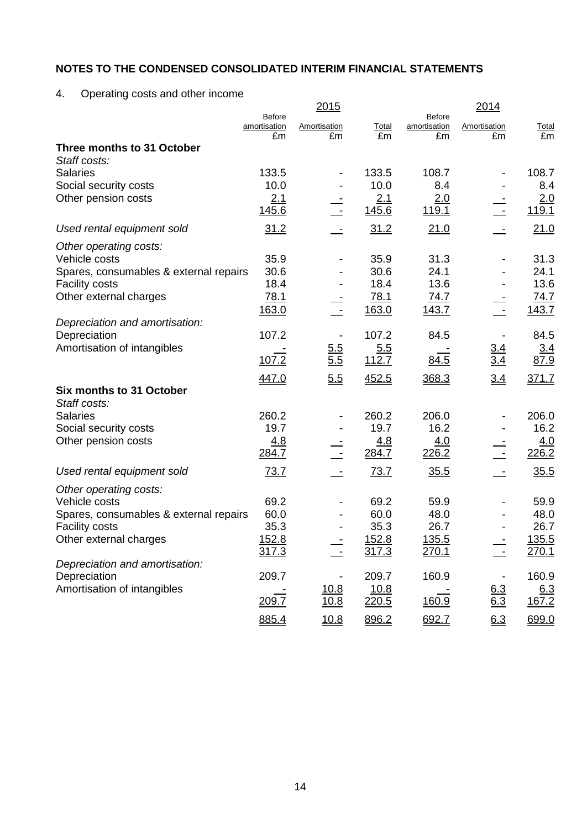4. Operating costs and other income

|                                                         |                               | <u> 2015</u> |              |                               | 2014              |              |
|---------------------------------------------------------|-------------------------------|--------------|--------------|-------------------------------|-------------------|--------------|
|                                                         | <b>Before</b><br>amortisation | Amortisation | Total        | <b>Before</b><br>amortisation | Amortisation      | <b>Total</b> |
| Three months to 31 October                              | £m                            | £m           | £m           | £m                            | £m                | £m           |
| Staff costs:                                            |                               |              |              |                               |                   |              |
| <b>Salaries</b>                                         | 133.5                         |              | 133.5        | 108.7                         |                   | 108.7        |
| Social security costs                                   | 10.0                          |              | 10.0         | 8.4                           |                   | 8.4          |
| Other pension costs                                     | 2.1                           |              | 2.1          | 2.0                           |                   | 2.0          |
|                                                         | <u>145.6</u>                  |              | 145.6        | 119.1                         |                   | 119.1        |
| Used rental equipment sold                              | 31.2                          |              | 31.2         | 21.0                          |                   | 21.0         |
| Other operating costs:                                  |                               |              |              |                               |                   |              |
| Vehicle costs                                           | 35.9                          |              | 35.9         | 31.3                          |                   | 31.3         |
| Spares, consumables & external repairs                  | 30.6                          |              | 30.6         | 24.1                          |                   | 24.1         |
| <b>Facility costs</b>                                   | 18.4                          |              | 18.4         | 13.6                          |                   | 13.6         |
| Other external charges                                  | 78.1                          |              | 78.1         | <u>74.7</u>                   |                   | 74.7         |
| Depreciation and amortisation:                          | 163.0                         |              | 163.0        | <u>143.7</u>                  |                   | <u>143.7</u> |
| Depreciation                                            | 107.2                         |              | 107.2        | 84.5                          |                   | 84.5         |
| Amortisation of intangibles                             |                               | <u>5.5</u>   | 5.5          |                               |                   | <u>3.4</u>   |
|                                                         | 107.2                         | 5.5          | 112.7        | 84.5                          | $\frac{3.4}{3.4}$ | 87.9         |
|                                                         | 447.0                         | 5.5          | 452.5        | 368.3                         | 3.4               | 371.7        |
| Six months to 31 October                                |                               |              |              |                               |                   |              |
| Staff costs:                                            |                               |              |              |                               |                   |              |
| <b>Salaries</b>                                         | 260.2                         |              | 260.2        | 206.0                         |                   | 206.0        |
| Social security costs                                   | 19.7                          |              | 19.7         | 16.2                          |                   | 16.2         |
| Other pension costs                                     | 4.8<br>284.7                  |              | 4.8<br>284.7 | 4.0<br>226.2                  |                   | 4.0<br>226.2 |
| Used rental equipment sold                              | 73.7                          |              | 73.7         | 35.5                          |                   | 35.5         |
|                                                         |                               |              |              |                               |                   |              |
| Other operating costs:                                  |                               |              |              |                               |                   |              |
| Vehicle costs<br>Spares, consumables & external repairs | 69.2<br>60.0                  |              | 69.2<br>60.0 | 59.9<br>48.0                  |                   | 59.9<br>48.0 |
| <b>Facility costs</b>                                   | 35.3                          |              | 35.3         | 26.7                          |                   | 26.7         |
| Other external charges                                  | 152.8                         |              | 152.8        | <u>135.5</u>                  |                   | 135.5        |
|                                                         | 317.3                         |              | 317.3        | 270.1                         |                   | 270.1        |
| Depreciation and amortisation:                          |                               |              |              |                               |                   |              |
| Depreciation                                            | 209.7                         |              | 209.7        | 160.9                         |                   | 160.9        |
| Amortisation of intangibles                             |                               | 10.8         | 10.8         |                               | 6.3               | <u>6.3</u>   |
|                                                         | 209.7                         | 10.8         | 220.5        | 160.9                         | $6.\overline{3}$  | 167.2        |
|                                                         | 885.4                         | 10.8         | 896.2        | 692.7                         | 6.3               | 699.0        |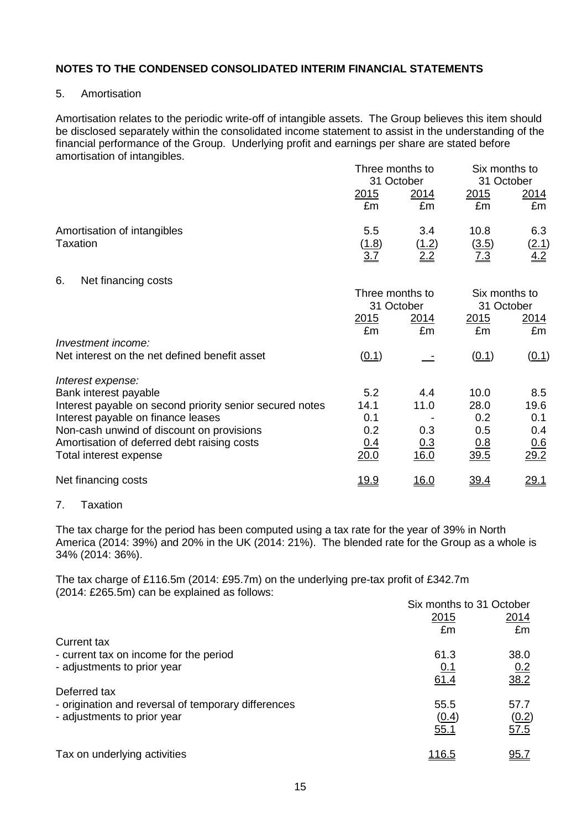#### 5. Amortisation

Amortisation relates to the periodic write-off of intangible assets. The Group believes this item should be disclosed separately within the consolidated income statement to assist in the understanding of the financial performance of the Group. Underlying profit and earnings per share are stated before amortisation of intangibles.

|                                                                                 |                     | Three months to<br>31 October |                             | Six months to<br>31 October |  |
|---------------------------------------------------------------------------------|---------------------|-------------------------------|-----------------------------|-----------------------------|--|
|                                                                                 | <u> 2015</u><br>£m  | 2014<br>£m                    | <u> 2015</u><br>£m          | 2014<br>£m                  |  |
| Amortisation of intangibles<br>Taxation                                         | 5.5<br>(1.8)<br>3.7 | 3.4<br>(1.2)<br>2.2           | 10.8<br>(3.5)<br><u>7.3</u> | 6.3<br>$\frac{(2.1)}{4.2}$  |  |
| 6.<br>Net financing costs                                                       | Three months to     | 31 October                    | Six months to<br>31 October |                             |  |
|                                                                                 | <u> 2015</u><br>£m  | <u> 2014 </u><br>£m           | 2015<br>£m                  | <u> 2014 </u><br>£m         |  |
| Investment income:                                                              |                     |                               |                             |                             |  |
| Net interest on the net defined benefit asset                                   | (0.1)               |                               | (0.1)                       | (0.1)                       |  |
| Interest expense:                                                               |                     |                               |                             |                             |  |
| Bank interest payable                                                           | 5.2                 | 4.4                           | 10.0                        | 8.5                         |  |
| Interest payable on second priority senior secured notes                        | 14.1                | 11.0                          | 28.0                        | 19.6                        |  |
| Interest payable on finance leases<br>Non-cash unwind of discount on provisions | 0.1<br>0.2          | 0.3                           | 0.2<br>0.5                  | 0.1<br>0.4                  |  |
| Amortisation of deferred debt raising costs                                     | 0.4                 | 0.3                           | <u>0.8</u>                  | 0.6                         |  |
| Total interest expense                                                          | 20.0                | 16.0                          | 39.5                        | 29.2                        |  |
| Net financing costs                                                             | <u>19.9</u>         | <u>16.0</u>                   | <u>39.4</u>                 | <u>29.1</u>                 |  |
|                                                                                 |                     |                               |                             |                             |  |

#### 7. Taxation

The tax charge for the period has been computed using a tax rate for the year of 39% in North America (2014: 39%) and 20% in the UK (2014: 21%). The blended rate for the Group as a whole is 34% (2014: 36%).

The tax charge of £116.5m (2014: £95.7m) on the underlying pre-tax profit of £342.7m (2014: £265.5m) can be explained as follows:

|                                                     | Six months to 31 October |             |
|-----------------------------------------------------|--------------------------|-------------|
|                                                     | 2015                     | 2014        |
|                                                     | £m                       | £m          |
| Current tax                                         |                          |             |
| - current tax on income for the period              | 61.3                     | 38.0        |
| - adjustments to prior year                         | <u>0.1</u>               | 0.2         |
|                                                     | 61.4                     | 38.2        |
| Deferred tax                                        |                          |             |
| - origination and reversal of temporary differences | 55.5                     | 57.7        |
| - adjustments to prior year                         | (0.4)                    | (0.2)       |
|                                                     | 55.1                     | 57.5        |
|                                                     |                          |             |
| Tax on underlying activities                        | <u> 116.5</u>            | <u>95.7</u> |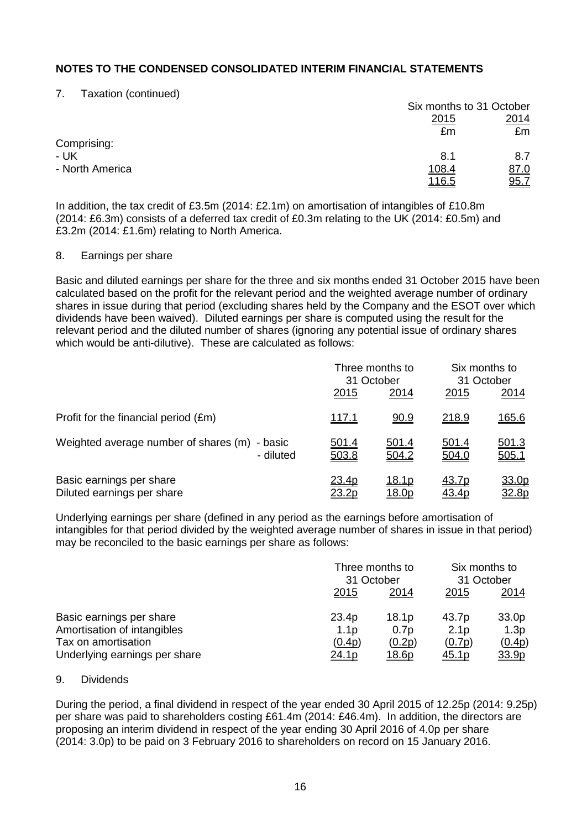7. Taxation (continued)

|                 |              | Six months to 31 October |
|-----------------|--------------|--------------------------|
|                 | <u>2015</u>  | 2014                     |
|                 | £m           | £m                       |
| Comprising:     |              |                          |
| - UK            | 8.1          | 8.7                      |
| - North America | <u>108.4</u> | 87.0                     |
|                 | <u>116.5</u> | 95.7                     |

In addition, the tax credit of £3.5m (2014: £2.1m) on amortisation of intangibles of £10.8m (2014: £6.3m) consists of a deferred tax credit of £0.3m relating to the UK (2014: £0.5m) and £3.2m (2014: £1.6m) relating to North America.

#### 8. Earnings per share

Basic and diluted earnings per share for the three and six months ended 31 October 2015 have been calculated based on the profit for the relevant period and the weighted average number of ordinary shares in issue during that period (excluding shares held by the Company and the ESOT over which dividends have been waived). Diluted earnings per share is computed using the result for the relevant period and the diluted number of shares (ignoring any potential issue of ordinary shares which would be anti-dilutive). These are calculated as follows:

|                                                            |                       | Three months to<br>31 October  |                | Six months to<br>31 October |  |
|------------------------------------------------------------|-----------------------|--------------------------------|----------------|-----------------------------|--|
|                                                            | 2015                  | 2014                           | 2015           | 2014                        |  |
| Profit for the financial period (£m)                       | <u>117.1</u>          | 90.9                           | 218.9          | <u>165.6</u>                |  |
| Weighted average number of shares (m) - basic<br>- diluted | <u>501.4</u><br>503.8 | <u>501.4</u><br>504.2          | 501.4<br>504.0 | 501.3<br>505.1              |  |
| Basic earnings per share<br>Diluted earnings per share     | 23.4p<br><u>23.2p</u> | <u> 18.1p</u><br><u> 18.0p</u> | 43.7p<br>43.4p | 33.0p<br><u>32.8p</u>       |  |

Underlying earnings per share (defined in any period as the earnings before amortisation of intangibles for that period divided by the weighted average number of shares in issue in that period) may be reconciled to the basic earnings per share as follows:

|                               |                  | Three months to<br>31 October |                  | Six months to<br>31 October |  |
|-------------------------------|------------------|-------------------------------|------------------|-----------------------------|--|
|                               | 2015             | 2014                          | 2015             | 2014                        |  |
| Basic earnings per share      | 23.4p            | 18.1 <sub>p</sub>             | 43.7p            | 33.0p                       |  |
| Amortisation of intangibles   | 1.1 <sub>p</sub> | 0.7p                          | 2.1 <sub>p</sub> | 1.3 <sub>p</sub>            |  |
| Tax on amortisation           | (0.4p)           | (0.2p)                        | (0.7p)           | (0.4p)                      |  |
| Underlying earnings per share | <u>24.1p</u>     | <u> 18.6p</u>                 | <u>45.1p</u>     | <u>33.9p</u>                |  |

### 9. Dividends

During the period, a final dividend in respect of the year ended 30 April 2015 of 12.25p (2014: 9.25p) per share was paid to shareholders costing £61.4m (2014: £46.4m). In addition, the directors are proposing an interim dividend in respect of the year ending 30 April 2016 of 4.0p per share (2014: 3.0p) to be paid on 3 February 2016 to shareholders on record on 15 January 2016.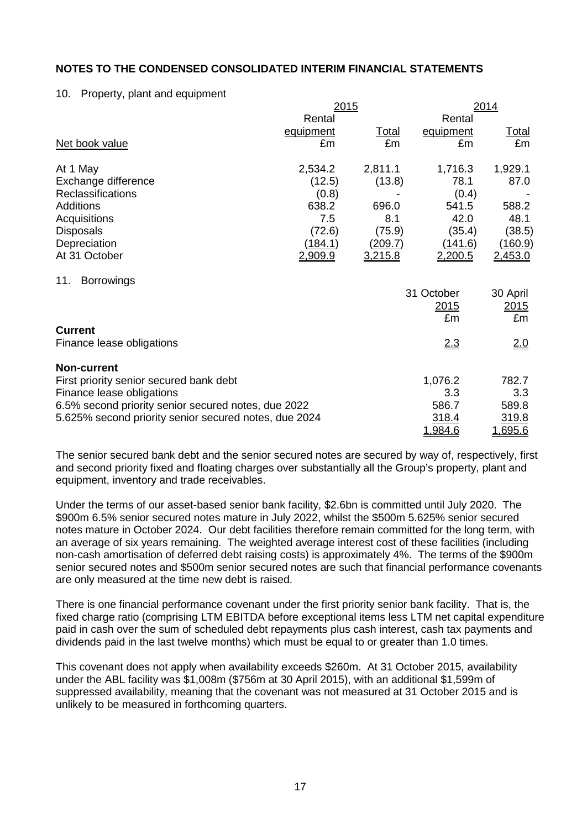#### 10. Property, plant and equipment

|                                                       | 2015           |              |                | 2014           |
|-------------------------------------------------------|----------------|--------------|----------------|----------------|
|                                                       | Rental         |              | Rental         |                |
|                                                       | equipment      | <u>Total</u> | equipment      | <u>Total</u>   |
| Net book value                                        | £m             | £m           | £m             | £m             |
| At 1 May                                              | 2,534.2        | 2,811.1      | 1,716.3        | 1,929.1        |
| Exchange difference                                   | (12.5)         | (13.8)       | 78.1           | 87.0           |
| Reclassifications                                     | (0.8)          |              | (0.4)          |                |
| <b>Additions</b>                                      | 638.2          | 696.0        | 541.5          | 588.2          |
| Acquisitions                                          | 7.5            | 8.1          | 42.0           | 48.1           |
| <b>Disposals</b>                                      | (72.6)         | (75.9)       | (35.4)         | (38.5)         |
| Depreciation                                          | <u>(184.1)</u> | (209.7)      | <u>(141.6)</u> | <u>(160.9)</u> |
| At 31 October                                         | 2,909.9        | 3,215.8      | <u>2,200.5</u> | <u>2,453.0</u> |
| <b>Borrowings</b><br>11.                              |                |              |                |                |
|                                                       |                |              | 31 October     | 30 April       |
|                                                       |                |              | 2015           | 2015           |
|                                                       |                |              | £m             | £m             |
| <b>Current</b>                                        |                |              |                |                |
| Finance lease obligations                             |                |              | 2.3            | <u>2.0</u>     |
| <b>Non-current</b>                                    |                |              |                |                |
| First priority senior secured bank debt               |                |              | 1,076.2        | 782.7          |
| Finance lease obligations                             |                |              | 3.3            | 3.3            |
| 6.5% second priority senior secured notes, due 2022   |                |              | 586.7          | 589.8          |
| 5.625% second priority senior secured notes, due 2024 |                |              | 318.4          | 319.8          |
|                                                       |                |              | 1,984.6        | 1,695.6        |

The senior secured bank debt and the senior secured notes are secured by way of, respectively, first and second priority fixed and floating charges over substantially all the Group's property, plant and equipment, inventory and trade receivables.

Under the terms of our asset-based senior bank facility, \$2.6bn is committed until July 2020. The \$900m 6.5% senior secured notes mature in July 2022, whilst the \$500m 5.625% senior secured notes mature in October 2024. Our debt facilities therefore remain committed for the long term, with an average of six years remaining. The weighted average interest cost of these facilities (including non-cash amortisation of deferred debt raising costs) is approximately 4%. The terms of the \$900m senior secured notes and \$500m senior secured notes are such that financial performance covenants are only measured at the time new debt is raised.

There is one financial performance covenant under the first priority senior bank facility. That is, the fixed charge ratio (comprising LTM EBITDA before exceptional items less LTM net capital expenditure paid in cash over the sum of scheduled debt repayments plus cash interest, cash tax payments and dividends paid in the last twelve months) which must be equal to or greater than 1.0 times.

This covenant does not apply when availability exceeds \$260m. At 31 October 2015, availability under the ABL facility was \$1,008m (\$756m at 30 April 2015), with an additional \$1,599m of suppressed availability, meaning that the covenant was not measured at 31 October 2015 and is unlikely to be measured in forthcoming quarters.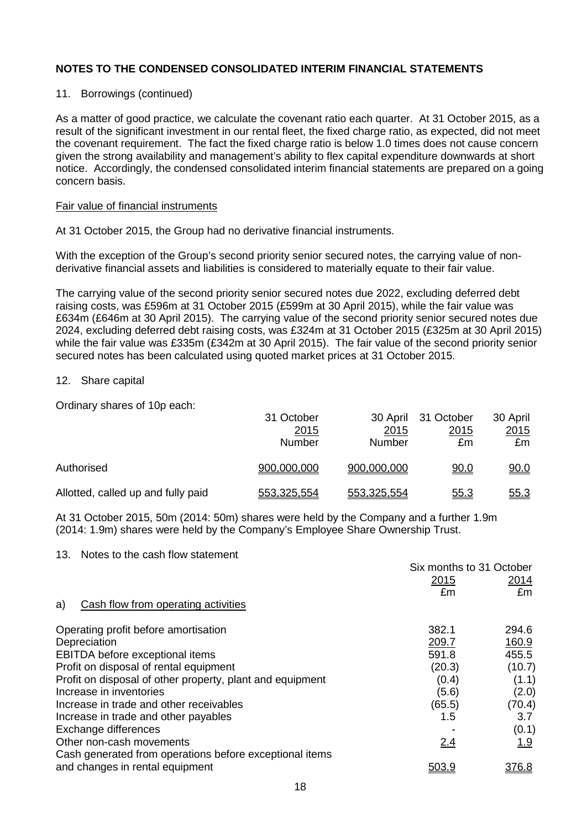### 11. Borrowings (continued)

As a matter of good practice, we calculate the covenant ratio each quarter. At 31 October 2015, as a result of the significant investment in our rental fleet, the fixed charge ratio, as expected, did not meet the covenant requirement. The fact the fixed charge ratio is below 1.0 times does not cause concern given the strong availability and management's ability to flex capital expenditure downwards at short notice. Accordingly, the condensed consolidated interim financial statements are prepared on a going concern basis.

#### Fair value of financial instruments

At 31 October 2015, the Group had no derivative financial instruments.

With the exception of the Group's second priority senior secured notes, the carrying value of nonderivative financial assets and liabilities is considered to materially equate to their fair value.

The carrying value of the second priority senior secured notes due 2022, excluding deferred debt raising costs, was £596m at 31 October 2015 (£599m at 30 April 2015), while the fair value was £634m (£646m at 30 April 2015). The carrying value of the second priority senior secured notes due 2024, excluding deferred debt raising costs, was £324m at 31 October 2015 (£325m at 30 April 2015) while the fair value was £335m (£342m at 30 April 2015). The fair value of the second priority senior secured notes has been calculated using quoted market prices at 31 October 2015.

#### 12. Share capital

Ordinary shares of 10p each:

|                                    | 31 October<br>2015<br>Number | 2015<br>Number | 30 April 31 October<br>2015<br>£m | 30 April<br>2015<br>£m |
|------------------------------------|------------------------------|----------------|-----------------------------------|------------------------|
| Authorised                         | 900,000,000                  | 900,000,000    | <u>90.0</u>                       | <u>90.0</u>            |
| Allotted, called up and fully paid | 553,325,554                  | 553,325,554    | <u>55.3</u>                       | <u>55.3</u>            |

At 31 October 2015, 50m (2014: 50m) shares were held by the Company and a further 1.9m (2014: 1.9m) shares were held by the Company's Employee Share Ownership Trust.

#### 13. Notes to the cash flow statement

| Operating profit before amortisation<br>382.1<br>209.7<br>Depreciation<br>EBITDA before exceptional items<br>591.8<br>(20.3)<br>Profit on disposal of rental equipment<br>Profit on disposal of other property, plant and equipment<br>(0.4)<br>Increase in inventories<br>(5.6)<br>(65.5)<br>Increase in trade and other receivables<br>Increase in trade and other payables<br>1.5<br>Exchange differences<br>Other non-cash movements<br>2.4<br>Cash generated from operations before exceptional items<br>and changes in rental equipment<br>503.9 | Cash flow from operating activities<br>a) | Six months to 31 October<br>2015<br>£m | 2014<br>£m |
|--------------------------------------------------------------------------------------------------------------------------------------------------------------------------------------------------------------------------------------------------------------------------------------------------------------------------------------------------------------------------------------------------------------------------------------------------------------------------------------------------------------------------------------------------------|-------------------------------------------|----------------------------------------|------------|
|                                                                                                                                                                                                                                                                                                                                                                                                                                                                                                                                                        |                                           |                                        |            |
|                                                                                                                                                                                                                                                                                                                                                                                                                                                                                                                                                        |                                           |                                        | 294.6      |
|                                                                                                                                                                                                                                                                                                                                                                                                                                                                                                                                                        |                                           |                                        | 160.9      |
|                                                                                                                                                                                                                                                                                                                                                                                                                                                                                                                                                        |                                           |                                        | 455.5      |
|                                                                                                                                                                                                                                                                                                                                                                                                                                                                                                                                                        |                                           |                                        | (10.7)     |
|                                                                                                                                                                                                                                                                                                                                                                                                                                                                                                                                                        |                                           |                                        | (1.1)      |
|                                                                                                                                                                                                                                                                                                                                                                                                                                                                                                                                                        |                                           |                                        | (2.0)      |
|                                                                                                                                                                                                                                                                                                                                                                                                                                                                                                                                                        |                                           |                                        | (70.4)     |
|                                                                                                                                                                                                                                                                                                                                                                                                                                                                                                                                                        |                                           |                                        | 3.7        |
|                                                                                                                                                                                                                                                                                                                                                                                                                                                                                                                                                        |                                           |                                        | (0.1)      |
|                                                                                                                                                                                                                                                                                                                                                                                                                                                                                                                                                        |                                           |                                        | <u>1.9</u> |
|                                                                                                                                                                                                                                                                                                                                                                                                                                                                                                                                                        |                                           |                                        |            |
|                                                                                                                                                                                                                                                                                                                                                                                                                                                                                                                                                        |                                           |                                        | 376.8      |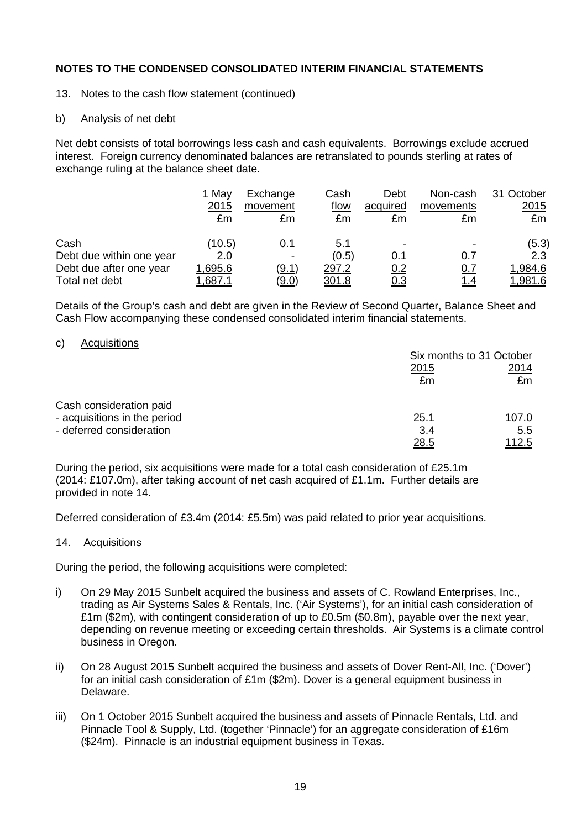- 13. Notes to the cash flow statement (continued)
- b) Analysis of net debt

Net debt consists of total borrowings less cash and cash equivalents. Borrowings exclude accrued interest. Foreign currency denominated balances are retranslated to pounds sterling at rates of exchange ruling at the balance sheet date.

|                          | 1 May<br>2015<br>£m | Exchange<br>movement<br>£m | Cash<br>flow<br>£m | Debt<br>acquired<br>£m | Non-cash<br>movements<br>£m | 31 October<br><u>2015</u><br>£m |
|--------------------------|---------------------|----------------------------|--------------------|------------------------|-----------------------------|---------------------------------|
| Cash                     | (10.5)              | 0.1                        | 5.1                | -                      |                             | (5.3)                           |
| Debt due within one year | 2.0                 |                            | (0.5)              | 0.1                    | 0.7                         | 2.3                             |
| Debt due after one year  | 1,695.6             | (9.1)                      | 297.2              | 0.2                    | 0.7                         | 1,984.6                         |
| Total net debt           | 1,687.              | <u>(9.0)</u>               | 301.8              | <u>0.3</u>             | <u>1.4</u>                  | 1,981.6                         |

Details of the Group's cash and debt are given in the Review of Second Quarter, Balance Sheet and Cash Flow accompanying these condensed consolidated interim financial statements.

c) Acquisitions

|                              | Six months to 31 October  |                             |  |
|------------------------------|---------------------------|-----------------------------|--|
|                              | 2015<br>£m                | 2014<br>£m                  |  |
| Cash consideration paid      |                           |                             |  |
| - acquisitions in the period | 25.1                      | 107.0                       |  |
| - deferred consideration     | <u>3.4</u><br><u>28.5</u> | <u>5.5</u><br><u> 112.5</u> |  |

During the period, six acquisitions were made for a total cash consideration of £25.1m  $(2014: \text{\textsterling}107.0m)$ , after taking account of net cash acquired of £1.1m. Further details are provided in note 14.

Deferred consideration of £3.4m (2014: £5.5m) was paid related to prior year acquisitions.

14. Acquisitions

During the period, the following acquisitions were completed:

- i) On 29 May 2015 Sunbelt acquired the business and assets of C. Rowland Enterprises, Inc., trading as Air Systems Sales & Rentals, Inc. ('Air Systems'), for an initial cash consideration of £1m (\$2m), with contingent consideration of up to £0.5m (\$0.8m), payable over the next year, depending on revenue meeting or exceeding certain thresholds. Air Systems is a climate control business in Oregon.
- ii) On 28 August 2015 Sunbelt acquired the business and assets of Dover Rent-All, Inc. ('Dover') for an initial cash consideration of £1m (\$2m). Dover is a general equipment business in Delaware.
- iii) On 1 October 2015 Sunbelt acquired the business and assets of Pinnacle Rentals, Ltd. and Pinnacle Tool & Supply, Ltd. (together 'Pinnacle') for an aggregate consideration of £16m (\$24m). Pinnacle is an industrial equipment business in Texas.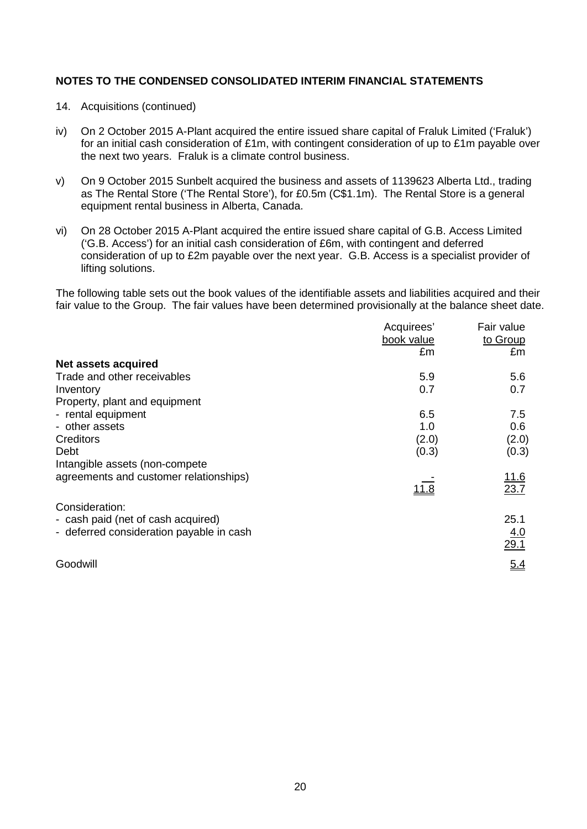- 14. Acquisitions (continued)
- iv) On 2 October 2015 A-Plant acquired the entire issued share capital of Fraluk Limited ('Fraluk') for an initial cash consideration of £1m, with contingent consideration of up to £1m payable over the next two years. Fraluk is a climate control business.
- v) On 9 October 2015 Sunbelt acquired the business and assets of 1139623 Alberta Ltd., trading as The Rental Store ('The Rental Store'), for £0.5m (C\$1.1m). The Rental Store is a general equipment rental business in Alberta, Canada.
- vi) On 28 October 2015 A-Plant acquired the entire issued share capital of G.B. Access Limited ('G.B. Access') for an initial cash consideration of £6m, with contingent and deferred consideration of up to £2m payable over the next year. G.B. Access is a specialist provider of lifting solutions.

The following table sets out the book values of the identifiable assets and liabilities acquired and their fair value to the Group. The fair values have been determined provisionally at the balance sheet date.

| Acquirees' | Fair value   |
|------------|--------------|
| book value | to Group     |
| £m         | £m           |
|            |              |
| 5.9        | 5.6          |
| 0.7        | 0.7          |
|            |              |
| 6.5        | 7.5          |
| 1.0        | 0.6          |
| (2.0)      | (2.0)        |
| (0.3)      | (0.3)        |
|            |              |
|            | <u> 11.6</u> |
| 11.8       | 23.7         |
|            |              |
|            | 25.1         |
|            | 4.0          |
|            | 29.1         |
|            | 5.4          |
|            |              |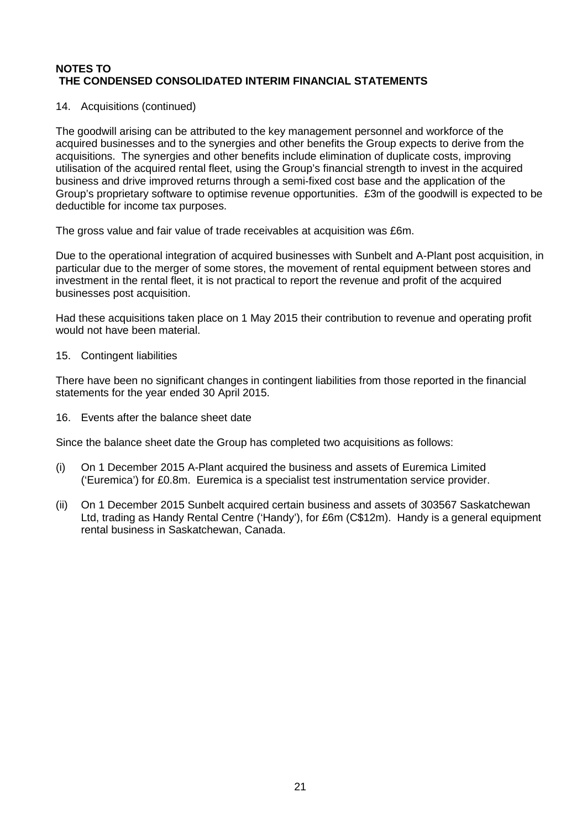### 14. Acquisitions (continued)

The goodwill arising can be attributed to the key management personnel and workforce of the acquired businesses and to the synergies and other benefits the Group expects to derive from the acquisitions. The synergies and other benefits include elimination of duplicate costs, improving utilisation of the acquired rental fleet, using the Group's financial strength to invest in the acquired business and drive improved returns through a semi-fixed cost base and the application of the Group's proprietary software to optimise revenue opportunities. £3m of the goodwill is expected to be deductible for income tax purposes.

The gross value and fair value of trade receivables at acquisition was £6m.

Due to the operational integration of acquired businesses with Sunbelt and A-Plant post acquisition, in particular due to the merger of some stores, the movement of rental equipment between stores and investment in the rental fleet, it is not practical to report the revenue and profit of the acquired businesses post acquisition.

Had these acquisitions taken place on 1 May 2015 their contribution to revenue and operating profit would not have been material.

### 15. Contingent liabilities

There have been no significant changes in contingent liabilities from those reported in the financial statements for the year ended 30 April 2015.

16. Events after the balance sheet date

Since the balance sheet date the Group has completed two acquisitions as follows:

- (i) On 1 December 2015 A-Plant acquired the business and assets of Euremica Limited ('Euremica') for £0.8m. Euremica is a specialist test instrumentation service provider.
- (ii) On 1 December 2015 Sunbelt acquired certain business and assets of 303567 Saskatchewan Ltd, trading as Handy Rental Centre ('Handy'), for £6m (C\$12m). Handy is a general equipment rental business in Saskatchewan, Canada.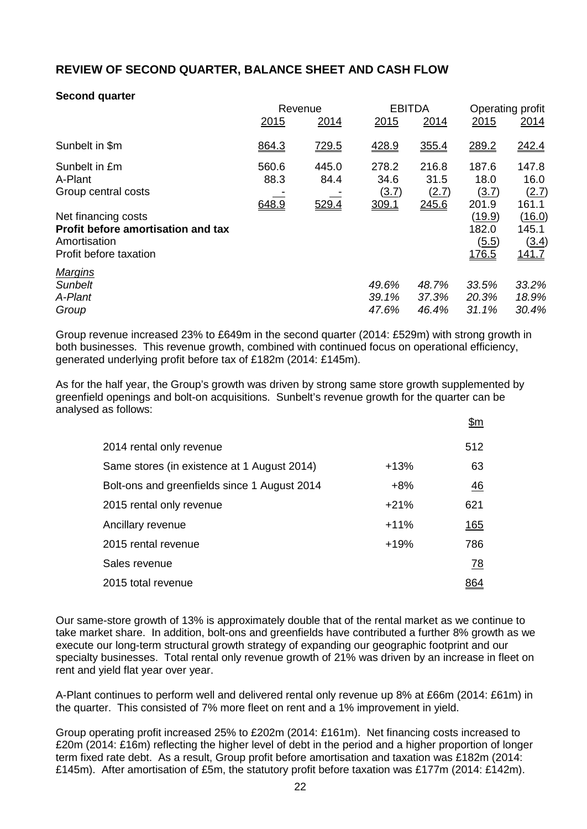## **REVIEW OF SECOND QUARTER, BALANCE SHEET AND CASH FLOW**

### **Second quarter**

|                                    | Revenue |              | <b>EBITDA</b> |       | Operating profit |              |
|------------------------------------|---------|--------------|---------------|-------|------------------|--------------|
|                                    | 2015    | 2014         | 2015          | 2014  | 2015             | 2014         |
| Sunbelt in \$m                     | 864.3   | <u>729.5</u> | 428.9         | 355.4 | 289.2            | 242.4        |
| Sunbelt in £m                      | 560.6   | 445.0        | 278.2         | 216.8 | 187.6            | 147.8        |
| A-Plant                            | 88.3    | 84.4         | 34.6          | 31.5  | 18.0             | 16.0         |
| Group central costs                |         |              | (3.7)         | (2.7) | (3.7)            | (2.7)        |
|                                    | 648.9   | 529.4        | 309.1         | 245.6 | 201.9            | 161.1        |
| Net financing costs                |         |              |               |       | (19.9)           | (16.0)       |
| Profit before amortisation and tax |         |              |               |       | 182.0            | 145.1        |
| Amortisation                       |         |              |               |       | (5.5)            | (3.4)        |
| Profit before taxation             |         |              |               |       | <u>176.5</u>     | <u>141.7</u> |
| <b>Margins</b>                     |         |              |               |       |                  |              |
| <b>Sunbelt</b>                     |         |              | 49.6%         | 48.7% | 33.5%            | 33.2%        |
| A-Plant                            |         |              | 39.1%         | 37.3% | 20.3%            | 18.9%        |
| Group                              |         |              | 47.6%         | 46.4% | 31.1%            | 30.4%        |

Group revenue increased 23% to £649m in the second quarter (2014: £529m) with strong growth in both businesses. This revenue growth, combined with continued focus on operational efficiency, generated underlying profit before tax of £182m (2014: £145m).

As for the half year, the Group's growth was driven by strong same store growth supplemented by greenfield openings and bolt-on acquisitions. Sunbelt's revenue growth for the quarter can be analysed as follows:

 $\theta$ m

|                                              |        | <u> שווע</u>     |
|----------------------------------------------|--------|------------------|
| 2014 rental only revenue                     |        | 512              |
| Same stores (in existence at 1 August 2014)  | $+13%$ | 63               |
| Bolt-ons and greenfields since 1 August 2014 | $+8%$  | <u>46</u>        |
| 2015 rental only revenue                     | $+21%$ | 621              |
| Ancillary revenue                            | $+11%$ | <u>165</u>       |
| 2015 rental revenue                          | $+19%$ | 786              |
| Sales revenue                                |        | $\underline{78}$ |
| 2015 total revenue                           |        |                  |

Our same-store growth of 13% is approximately double that of the rental market as we continue to take market share. In addition, bolt-ons and greenfields have contributed a further 8% growth as we execute our long-term structural growth strategy of expanding our geographic footprint and our specialty businesses. Total rental only revenue growth of 21% was driven by an increase in fleet on rent and yield flat year over year.

A-Plant continues to perform well and delivered rental only revenue up 8% at £66m (2014: £61m) in the quarter. This consisted of 7% more fleet on rent and a 1% improvement in yield.

Group operating profit increased 25% to £202m (2014: £161m). Net financing costs increased to £20m (2014: £16m) reflecting the higher level of debt in the period and a higher proportion of longer term fixed rate debt. As a result, Group profit before amortisation and taxation was £182m (2014: £145m). After amortisation of £5m, the statutory profit before taxation was £177m (2014: £142m).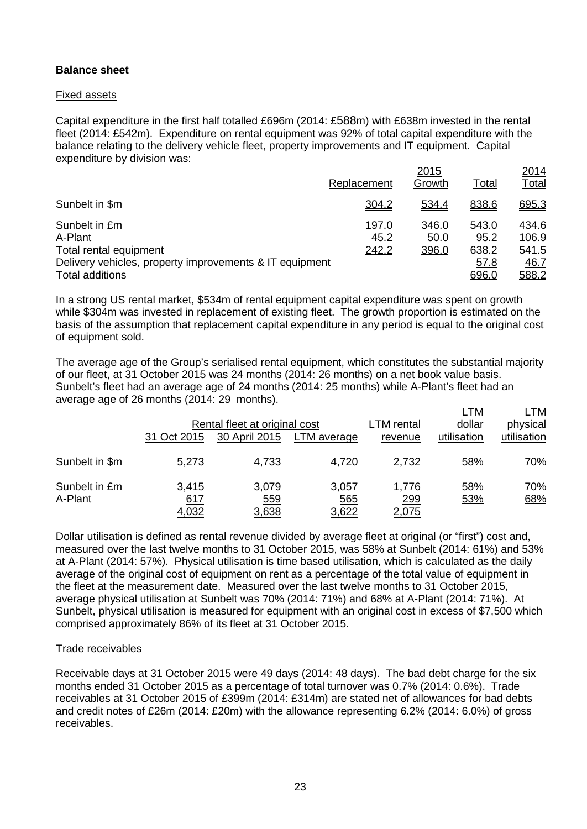## **Balance sheet**

### Fixed assets

Capital expenditure in the first half totalled £696m (2014: £588m) with £638m invested in the rental fleet (2014: £542m). Expenditure on rental equipment was 92% of total capital expenditure with the balance relating to the delivery vehicle fleet, property improvements and IT equipment. Capital expenditure by division was:

|                                                         |               | <u>2015</u>   |               | <u>2014</u>    |
|---------------------------------------------------------|---------------|---------------|---------------|----------------|
|                                                         | Replacement   | Growth        | <b>Total</b>  | <u>Total</u>   |
| Sunbelt in \$m                                          | 304.2         | 534.4         | 838.6         | 695.3          |
| Sunbelt in £m<br>A-Plant                                | 197.0<br>45.2 | 346.0<br>50.0 | 543.0<br>95.2 | 434.6<br>106.9 |
| Total rental equipment                                  | 242.2         | 396.0         | 638.2         | 541.5          |
| Delivery vehicles, property improvements & IT equipment |               |               | 57.8          | 46.7           |
| <b>Total additions</b>                                  |               |               | 696.0         | 588.2          |

In a strong US rental market, \$534m of rental equipment capital expenditure was spent on growth while \$304m was invested in replacement of existing fleet. The growth proportion is estimated on the basis of the assumption that replacement capital expenditure in any period is equal to the original cost of equipment sold.

The average age of the Group's serialised rental equipment, which constitutes the substantial majority of our fleet, at 31 October 2015 was 24 months (2014: 26 months) on a net book value basis. Sunbelt's fleet had an average age of 24 months (2014: 25 months) while A-Plant's fleet had an average age of 26 months (2014: 29 months). LTM LTM

|                          | 31 Oct 2015           | Rental fleet at original cost<br>30 April 2015 | LTM average                  | LTM rental<br>revenue        | LIVI<br>dollar<br>utilisation | L I IVI<br>physical<br>utilisation |
|--------------------------|-----------------------|------------------------------------------------|------------------------------|------------------------------|-------------------------------|------------------------------------|
| Sunbelt in \$m           | 5,273                 | 4,733                                          | 4,720                        | 2,732                        | 58%                           | <u>70%</u>                         |
| Sunbelt in £m<br>A-Plant | 3,415<br>617<br>4,032 | 3,079<br>559<br>3,638                          | 3,057<br><u>565</u><br>3,622 | 1,776<br>299<br><u>2,075</u> | 58%<br>53%                    | 70%<br>68%                         |

Dollar utilisation is defined as rental revenue divided by average fleet at original (or "first") cost and, measured over the last twelve months to 31 October 2015, was 58% at Sunbelt (2014: 61%) and 53% at A-Plant (2014: 57%). Physical utilisation is time based utilisation, which is calculated as the daily average of the original cost of equipment on rent as a percentage of the total value of equipment in the fleet at the measurement date. Measured over the last twelve months to 31 October 2015, average physical utilisation at Sunbelt was 70% (2014: 71%) and 68% at A-Plant (2014: 71%). At Sunbelt, physical utilisation is measured for equipment with an original cost in excess of \$7,500 which comprised approximately 86% of its fleet at 31 October 2015.

### Trade receivables

Receivable days at 31 October 2015 were 49 days (2014: 48 days). The bad debt charge for the six months ended 31 October 2015 as a percentage of total turnover was 0.7% (2014: 0.6%). Trade receivables at 31 October 2015 of £399m (2014: £314m) are stated net of allowances for bad debts and credit notes of £26m (2014: £20m) with the allowance representing 6.2% (2014: 6.0%) of gross receivables.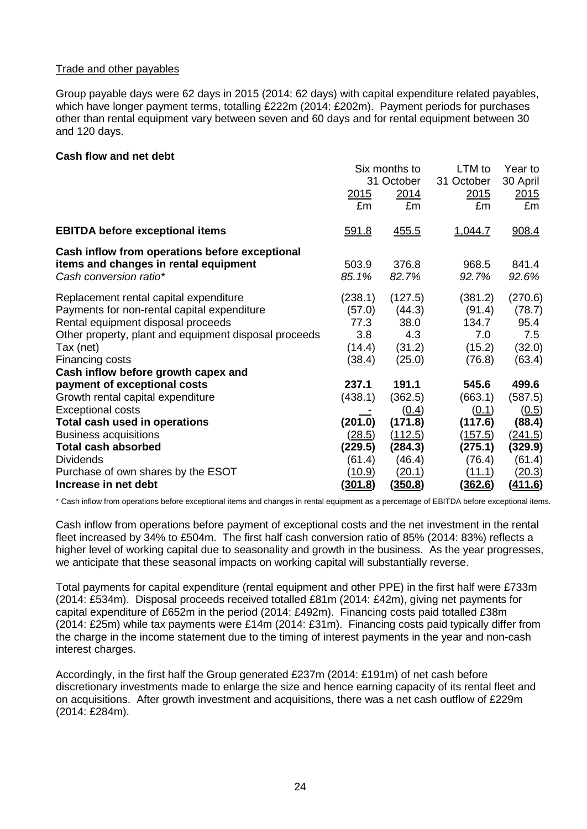### Trade and other payables

Group payable days were 62 days in 2015 (2014: 62 days) with capital expenditure related payables, which have longer payment terms, totalling £222m (2014: £202m). Payment periods for purchases other than rental equipment vary between seven and 60 days and for rental equipment between 30 and 120 days.

#### **Cash flow and net debt**

|                                                       | Six months to  |              | LTM to         | Year to       |
|-------------------------------------------------------|----------------|--------------|----------------|---------------|
|                                                       |                | 31 October   | 31 October     | 30 April      |
|                                                       | <u> 2015</u>   | 2014         | 2015           | 2015          |
|                                                       | £m             | £m           | £m             | £m            |
| <b>EBITDA before exceptional items</b>                | 591.8          | <u>455.5</u> | 1,044.7        | 908.4         |
| Cash inflow from operations before exceptional        |                |              |                |               |
| items and changes in rental equipment                 | 503.9          | 376.8        | 968.5          | 841.4         |
| Cash conversion ratio*                                | 85.1%          | 82.7%        | 92.7%          | 92.6%         |
| Replacement rental capital expenditure                | (238.1)        | (127.5)      | (381.2)        | (270.6)       |
| Payments for non-rental capital expenditure           | (57.0)         | (44.3)       | (91.4)         | (78.7)        |
| Rental equipment disposal proceeds                    | 77.3           | 38.0         | 134.7          | 95.4          |
| Other property, plant and equipment disposal proceeds | 3.8            | 4.3          | 7.0            | 7.5           |
| Tax (net)                                             | (14.4)         | (31.2)       | (15.2)         | (32.0)        |
| Financing costs                                       | (38.4)         | (25.0)       | (76.8)         | (63.4)        |
| Cash inflow before growth capex and                   |                |              |                |               |
| payment of exceptional costs                          | 237.1          | 191.1        | 545.6          | 499.6         |
| Growth rental capital expenditure                     | (438.1)        | (362.5)      | (663.1)        | (587.5)       |
| <b>Exceptional costs</b>                              |                | (0.4)        | (0.1)          | (0.5)         |
| Total cash used in operations                         | (201.0)        | (171.8)      | (117.6)        | (88.4)        |
| <b>Business acquisitions</b>                          | (28.5)         | (112.5)      | (157.5)        | (241.5)       |
| <b>Total cash absorbed</b>                            | (229.5)        | (284.3)      | (275.1)        | (329.9)       |
| <b>Dividends</b>                                      | (61.4)         | (46.4)       | (76.4)         | (61.4)        |
| Purchase of own shares by the ESOT                    | <u>(10.9)</u>  | (20.1)       | (11.1)         | <u>(20.3)</u> |
| Increase in net debt                                  | <u>(301.8)</u> | (350.8)      | <u>(362.6)</u> | (411.6)       |

\* Cash inflow from operations before exceptional items and changes in rental equipment as a percentage of EBITDA before exceptional items.

Cash inflow from operations before payment of exceptional costs and the net investment in the rental fleet increased by 34% to £504m. The first half cash conversion ratio of 85% (2014: 83%) reflects a higher level of working capital due to seasonality and growth in the business. As the year progresses, we anticipate that these seasonal impacts on working capital will substantially reverse.

Total payments for capital expenditure (rental equipment and other PPE) in the first half were £733m (2014: £534m). Disposal proceeds received totalled £81m (2014: £42m), giving net payments for capital expenditure of £652m in the period (2014: £492m). Financing costs paid totalled £38m (2014: £25m) while tax payments were £14m (2014: £31m). Financing costs paid typically differ from the charge in the income statement due to the timing of interest payments in the year and non-cash interest charges.

Accordingly, in the first half the Group generated £237m (2014: £191m) of net cash before discretionary investments made to enlarge the size and hence earning capacity of its rental fleet and on acquisitions. After growth investment and acquisitions, there was a net cash outflow of £229m (2014: £284m).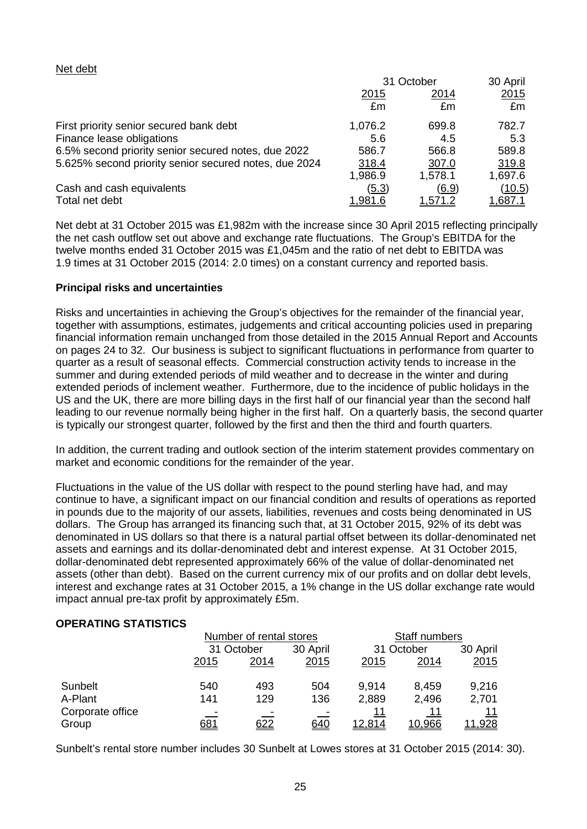#### Net debt

|                                                       | 31 October     |                | 30 April       |
|-------------------------------------------------------|----------------|----------------|----------------|
|                                                       | <u>2015</u>    | 2014           | 2015           |
|                                                       | £m             | £m             | £m             |
| First priority senior secured bank debt               | 1,076.2        | 699.8          | 782.7          |
| Finance lease obligations                             | 5.6            | 4.5            | 5.3            |
| 6.5% second priority senior secured notes, due 2022   | 586.7          | 566.8          | 589.8          |
| 5.625% second priority senior secured notes, due 2024 | 318.4          | 307.0          | 319.8          |
|                                                       | 1,986.9        | 1,578.1        | 1,697.6        |
| Cash and cash equivalents                             | (5.3)          | (6.9)          | <u>(10.5)</u>  |
| Total net debt                                        | <u>1.981.6</u> | <u>1,571.2</u> | <u>1,687.1</u> |

Net debt at 31 October 2015 was £1,982m with the increase since 30 April 2015 reflecting principally the net cash outflow set out above and exchange rate fluctuations. The Group's EBITDA for the twelve months ended 31 October 2015 was £1,045m and the ratio of net debt to EBITDA was 1.9 times at 31 October 2015 (2014: 2.0 times) on a constant currency and reported basis.

#### **Principal risks and uncertainties**

Risks and uncertainties in achieving the Group's objectives for the remainder of the financial year, together with assumptions, estimates, judgements and critical accounting policies used in preparing financial information remain unchanged from those detailed in the 2015 Annual Report and Accounts on pages 24 to 32. Our business is subject to significant fluctuations in performance from quarter to quarter as a result of seasonal effects. Commercial construction activity tends to increase in the summer and during extended periods of mild weather and to decrease in the winter and during extended periods of inclement weather. Furthermore, due to the incidence of public holidays in the US and the UK, there are more billing days in the first half of our financial year than the second half leading to our revenue normally being higher in the first half. On a quarterly basis, the second quarter is typically our strongest quarter, followed by the first and then the third and fourth quarters.

In addition, the current trading and outlook section of the interim statement provides commentary on market and economic conditions for the remainder of the year.

Fluctuations in the value of the US dollar with respect to the pound sterling have had, and may continue to have, a significant impact on our financial condition and results of operations as reported in pounds due to the majority of our assets, liabilities, revenues and costs being denominated in US dollars. The Group has arranged its financing such that, at 31 October 2015, 92% of its debt was denominated in US dollars so that there is a natural partial offset between its dollar-denominated net assets and earnings and its dollar-denominated debt and interest expense. At 31 October 2015, dollar-denominated debt represented approximately 66% of the value of dollar-denominated net assets (other than debt). Based on the current currency mix of our profits and on dollar debt levels, interest and exchange rates at 31 October 2015, a 1% change in the US dollar exchange rate would impact annual pre-tax profit by approximately £5m.

### **OPERATING STATISTICS**

|                  | Number of rental stores |            |      | Staff numbers |        |               |
|------------------|-------------------------|------------|------|---------------|--------|---------------|
|                  |                         | 31 October |      | 31 October    |        | 30 April      |
|                  | 2015                    | 2014       | 2015 | 2015          | 2014   | 2015          |
| Sunbelt          | 540                     | 493        | 504  | 9.914         | 8,459  | 9,216         |
| A-Plant          | 141                     | 129        | 136  | 2,889         | 2,496  | 2,701         |
| Corporate office | -                       |            |      | 11            | 11     | 11            |
| Group            | <u>681</u>              | <u>622</u> | 640  | 12,814        | 10,966 | <u>11,928</u> |

Sunbelt's rental store number includes 30 Sunbelt at Lowes stores at 31 October 2015 (2014: 30).